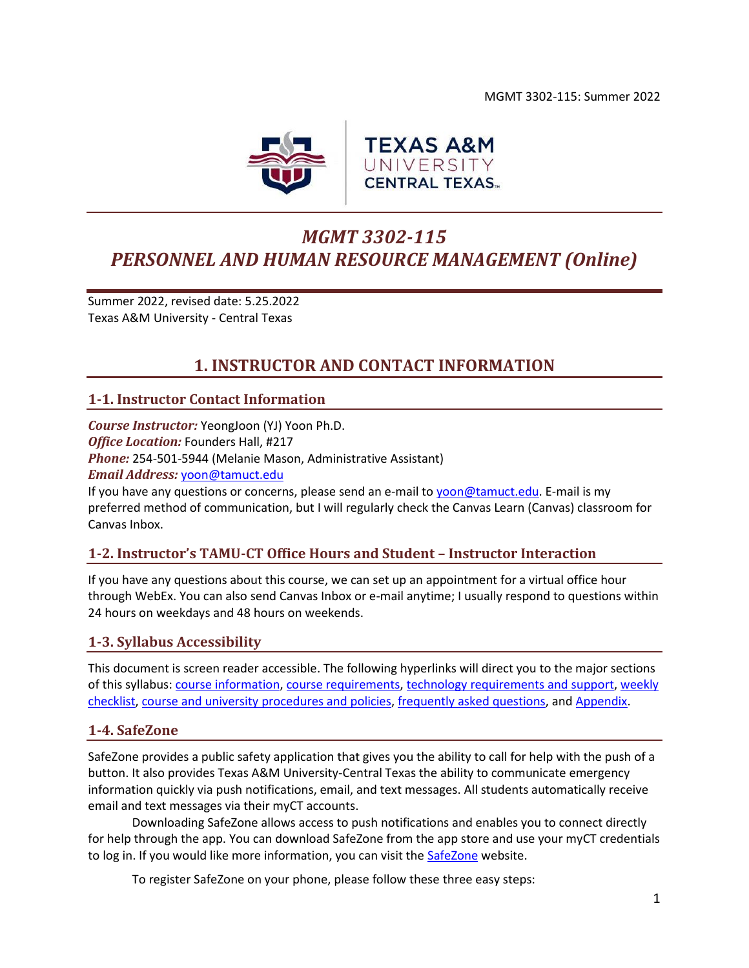

# *MGMT 3302-115 PERSONNEL AND HUMAN RESOURCE MANAGEMENT (Online)*

Summer 2022, revised date: 5.25.2022 Texas A&M University - Central Texas

## **1. INSTRUCTOR AND CONTACT INFORMATION**

## <span id="page-0-0"></span>**1-1. Instructor Contact Information**

*Course Instructor:* YeongJoon (YJ) Yoon Ph.D. *Office Location:* Founders Hall, #217 *Phone:* 254-501-5944 (Melanie Mason, Administrative Assistant) *Email Address:* [yoon@tamuct.edu](mailto:yoon@tamuct.edu)

If you have any questions or concerns, please send an e-mail to [yoon@tamuct.edu.](mailto:yoon@tamuct.edu) E-mail is my preferred method of communication, but I will regularly check the Canvas Learn (Canvas) classroom for Canvas Inbox.

## **1-2. Instructor's TAMU-CT Office Hours and Student – Instructor Interaction**

If you have any questions about this course, we can set up an appointment for a virtual office hour through WebEx. You can also send Canvas Inbox or e-mail anytime; I usually respond to questions within 24 hours on weekdays and 48 hours on weekends.

## **1-3. Syllabus Accessibility**

This document is screen reader accessible. The following hyperlinks will direct you to the major sections of this syllabus: course [information,](#page-1-0) [course requirements,](#page-2-0) [technology requirements and support,](#page-6-0) [weekly](#page-6-1)  [checklist,](#page-6-1) [course and university procedures and policies,](#page-16-0) [frequently asked questions,](#page-18-0) an[d Appendix.](#page-21-0)

### **1-4. SafeZone**

SafeZone provides a public safety application that gives you the ability to call for help with the push of a button. It also provides Texas A&M University-Central Texas the ability to communicate emergency information quickly via push notifications, email, and text messages. All students automatically receive email and text messages via their myCT accounts.

Downloading SafeZone allows access to push notifications and enables you to connect directly for help through the app. You can download SafeZone from the app store and use your myCT credentials to log in. If you would like more information, you can visit the [SafeZone](http://www.safezoneapp.com/) website.

To register SafeZone on your phone, please follow these three easy steps: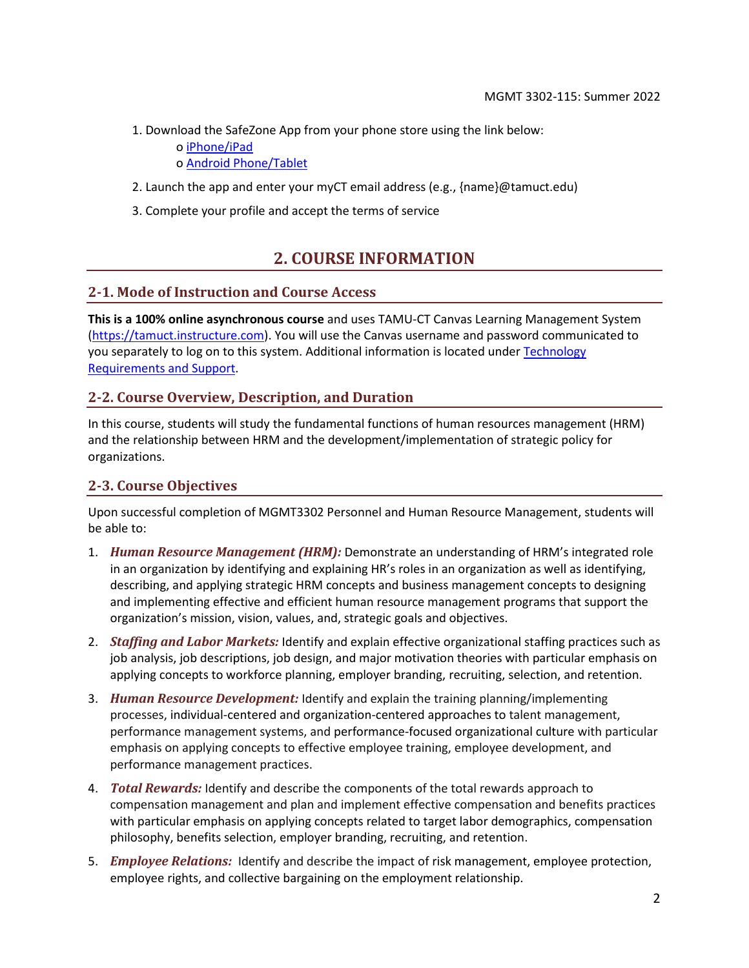1. Download the SafeZone App from your phone store using the link below:

o [iPhone/iPad](https://apps.apple.com/app/safezone/id533054756)

o [Android Phone/Tablet](https://play.google.com/store/apps/details?id=com.criticalarc.safezoneapp)

- 2. Launch the app and enter your myCT email address (e.g., {name}@tamuct.edu)
- <span id="page-1-0"></span>3. Complete your profile and accept the terms of service

## **2. COURSE INFORMATION**

### **2-1. Mode of Instruction and Course Access**

**This is a 100% online asynchronous course** and uses TAMU-CT Canvas Learning Management System [\(https://tamuct.instructure.com\)](https://tamuct.instructure.com/). You will use the Canvas username and password communicated to you separately to log on to this system. Additional information is located under Technology [Requirements and Support.](#page-6-2)

### **2-2. Course Overview, Description, and Duration**

In this course, students will study the fundamental functions of human resources management (HRM) and the relationship between HRM and the development/implementation of strategic policy for organizations.

### **2-3. Course Objectives**

Upon successful completion of MGMT3302 Personnel and Human Resource Management, students will be able to:

- 1. *Human Resource Management (HRM):* Demonstrate an understanding of HRM's integrated role in an organization by identifying and explaining HR's roles in an organization as well as identifying, describing, and applying strategic HRM concepts and business management concepts to designing and implementing effective and efficient human resource management programs that support the organization's mission, vision, values, and, strategic goals and objectives.
- 2. *Staffing and Labor Markets:* Identify and explain effective organizational staffing practices such as job analysis, job descriptions, job design, and major motivation theories with particular emphasis on applying concepts to workforce planning, employer branding, recruiting, selection, and retention.
- 3. *Human Resource Development:* Identify and explain the training planning/implementing processes, individual-centered and organization-centered approaches to talent management, performance management systems, and performance-focused organizational culture with particular emphasis on applying concepts to effective employee training, employee development, and performance management practices.
- 4. *Total Rewards:* Identify and describe the components of the total rewards approach to compensation management and plan and implement effective compensation and benefits practices with particular emphasis on applying concepts related to target labor demographics, compensation philosophy, benefits selection, employer branding, recruiting, and retention.
- 5. *Employee Relations:* Identify and describe the impact of risk management, employee protection, employee rights, and collective bargaining on the employment relationship.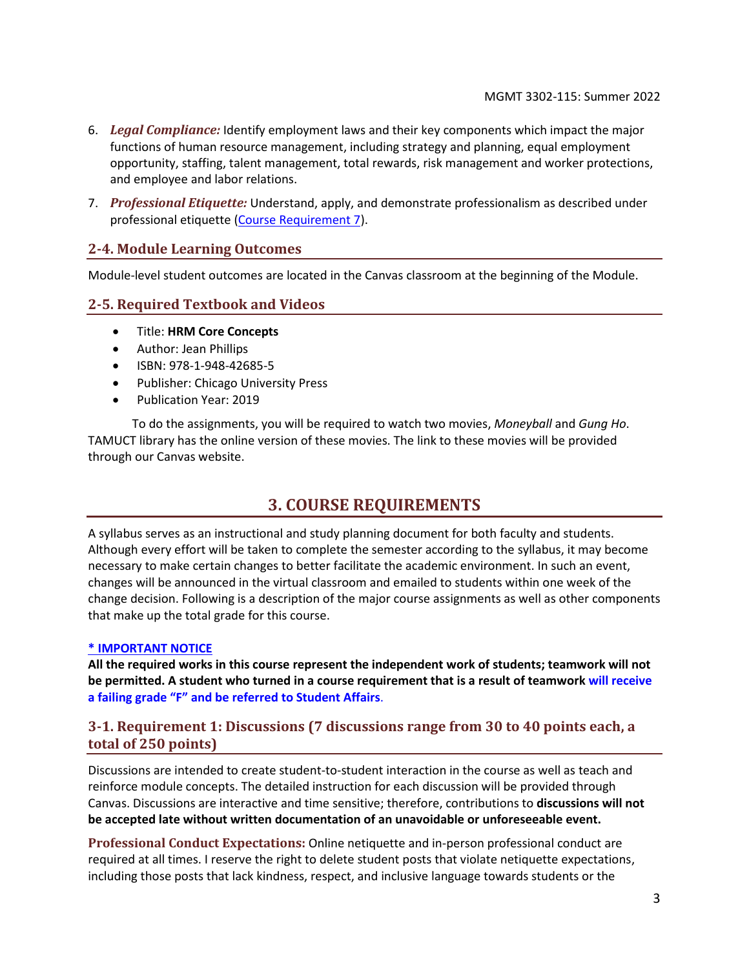- 6. *Legal Compliance:* Identify employment laws and their key components which impact the major functions of human resource management, including strategy and planning, equal employment opportunity, staffing, talent management, total rewards, risk management and worker protections, and employee and labor relations.
- 7. *Professional Etiquette:* Understand, apply, and demonstrate professionalism as described under professional etiquette [\(Course Requirement 7\)](#page-4-0).

### **2-4. Module Learning Outcomes**

Module-level student outcomes are located in the Canvas classroom at the beginning of the Module.

#### <span id="page-2-0"></span>**2-5. Required Textbook and Videos**

- Title: **HRM Core Concepts**
- Author: Jean Phillips
- ISBN: 978-1-948-42685-5
- Publisher: Chicago University Press
- Publication Year: 2019

To do the assignments, you will be required to watch two movies, *Moneyball* and *Gung Ho*. TAMUCT library has the online version of these movies. The link to these movies will be provided through our Canvas website.

## **3. COURSE REQUIREMENTS**

A syllabus serves as an instructional and study planning document for both faculty and students. Although every effort will be taken to complete the semester according to the syllabus, it may become necessary to make certain changes to better facilitate the academic environment. In such an event, changes will be announced in the virtual classroom and emailed to students within one week of the change decision. Following is a description of the major course assignments as well as other components that make up the total grade for this course.

#### **\* IMPORTANT NOTICE**

**All the required works in this course represent the independent work of students; teamwork will not be permitted. A student who turned in a course requirement that is a result of teamwork will receive a failing grade "F" and be referred to Student Affairs**.

## **3-1. Requirement 1: Discussions (7 discussions range from 30 to 40 points each, a total of 250 points)**

Discussions are intended to create student-to-student interaction in the course as well as teach and reinforce module concepts. The detailed instruction for each discussion will be provided through Canvas. Discussions are interactive and time sensitive; therefore, contributions to **discussions will not be accepted late without written documentation of an unavoidable or unforeseeable event.**

**Professional Conduct Expectations:** Online netiquette and in-person professional conduct are required at all times. I reserve the right to delete student posts that violate netiquette expectations, including those posts that lack kindness, respect, and inclusive language towards students or the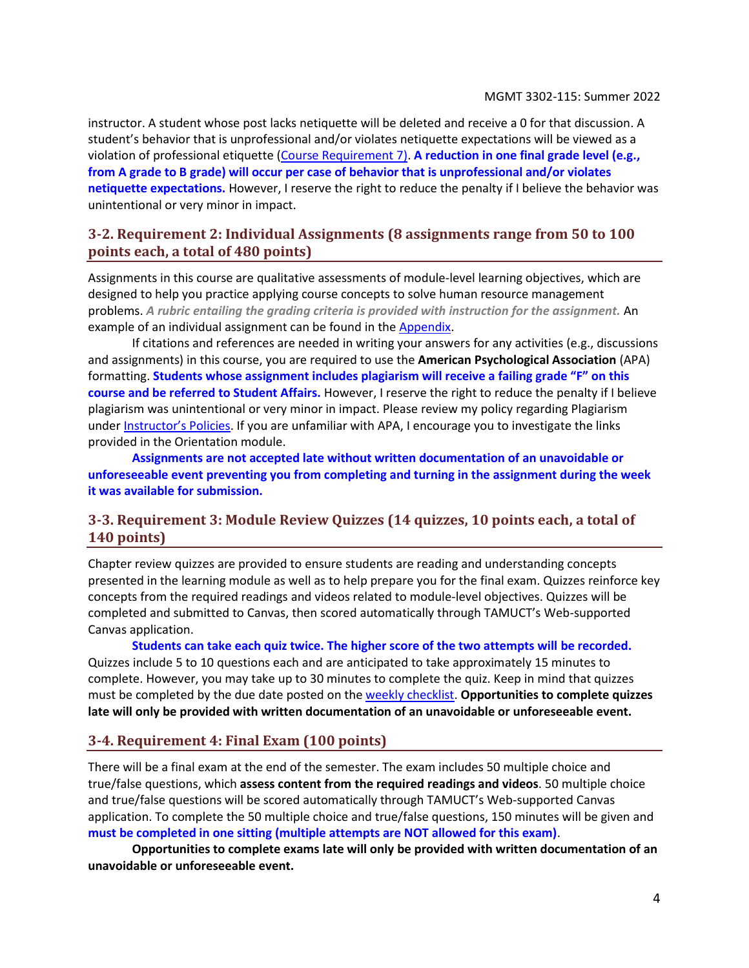instructor. A student whose post lacks netiquette will be deleted and receive a 0 for that discussion. A student's behavior that is unprofessional and/or violates netiquette expectations will be viewed as a violation of professional etiquette [\(Course Requirement 7\)](#page-4-0). **A reduction in one final grade level (e.g., from A grade to B grade) will occur per case of behavior that is unprofessional and/or violates netiquette expectations.** However, I reserve the right to reduce the penalty if I believe the behavior was unintentional or very minor in impact.

## **3-2. Requirement 2: Individual Assignments (8 assignments range from 50 to 100 points each, a total of 480 points)**

Assignments in this course are qualitative assessments of module-level learning objectives, which are designed to help you practice applying course concepts to solve human resource management problems. *A rubric entailing the grading criteria is provided with instruction for the assignment.* An example of an individual assignment can be found in the [Appendix.](#page-21-0)

If citations and references are needed in writing your answers for any activities (e.g., discussions and assignments) in this course, you are required to use the **American Psychological Association** (APA) formatting. **Students whose assignment includes plagiarism will receive a failing grade "F" on this course and be referred to Student Affairs.** However, I reserve the right to reduce the penalty if I believe plagiarism was unintentional or very minor in impact. Please review my policy regarding Plagiarism under [Instructor's Policies](#page-4-1). If you are unfamiliar with APA, I encourage you to investigate the links provided in the Orientation module.

**Assignments are not accepted late without written documentation of an unavoidable or unforeseeable event preventing you from completing and turning in the assignment during the week it was available for submission.**

## **3-3. Requirement 3: Module Review Quizzes (14 quizzes, 10 points each, a total of 140 points)**

Chapter review quizzes are provided to ensure students are reading and understanding concepts presented in the learning module as well as to help prepare you for the final exam. Quizzes reinforce key concepts from the required readings and videos related to module-level objectives. Quizzes will be completed and submitted to Canvas, then scored automatically through TAMUCT's Web-supported Canvas application.

**Students can take each quiz twice. The higher score of the two attempts will be recorded.** Quizzes include 5 to 10 questions each and are anticipated to take approximately 15 minutes to complete. However, you may take up to 30 minutes to complete the quiz. Keep in mind that quizzes must be completed by the due date posted on the [weekly checklist.](#page-6-1) **Opportunities to complete quizzes late will only be provided with written documentation of an unavoidable or unforeseeable event.**

### **3-4. Requirement 4: Final Exam (100 points)**

There will be a final exam at the end of the semester. The exam includes 50 multiple choice and true/false questions, which **assess content from the required readings and videos**. 50 multiple choice and true/false questions will be scored automatically through TAMUCT's Web-supported Canvas application. To complete the 50 multiple choice and true/false questions, 150 minutes will be given and **must be completed in one sitting (multiple attempts are NOT allowed for this exam)**.

**Opportunities to complete exams late will only be provided with written documentation of an unavoidable or unforeseeable event.**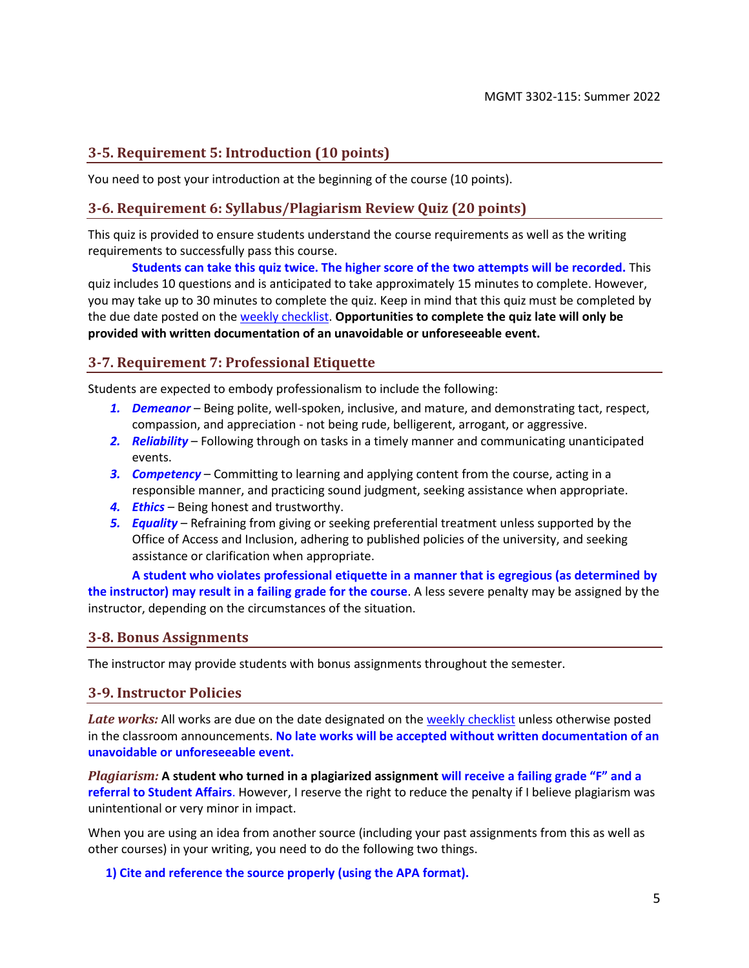## **3-5. Requirement 5: Introduction (10 points)**

You need to post your introduction at the beginning of the course (10 points).

### **3-6. Requirement 6: Syllabus/Plagiarism Review Quiz (20 points)**

This quiz is provided to ensure students understand the course requirements as well as the writing requirements to successfully pass this course.

**Students can take this quiz twice. The higher score of the two attempts will be recorded.** This quiz includes 10 questions and is anticipated to take approximately 15 minutes to complete. However, you may take up to 30 minutes to complete the quiz. Keep in mind that this quiz must be completed by the due date posted on th[e weekly checklist.](#page-6-1) **Opportunities to complete the quiz late will only be provided with written documentation of an unavoidable or unforeseeable event.**

## <span id="page-4-0"></span>**3-7. Requirement 7: Professional Etiquette**

Students are expected to embody professionalism to include the following:

- *1. Demeanor* Being polite, well-spoken, inclusive, and mature, and demonstrating tact, respect, compassion, and appreciation - not being rude, belligerent, arrogant, or aggressive.
- *2. Reliability* Following through on tasks in a timely manner and communicating unanticipated events.
- *3. Competency* Committing to learning and applying content from the course, acting in a responsible manner, and practicing sound judgment, seeking assistance when appropriate.
- *4. Ethics* Being honest and trustworthy.
- *5. Equality* Refraining from giving or seeking preferential treatment unless supported by the Office of Access and Inclusion, adhering to published policies of the university, and seeking assistance or clarification when appropriate.

**A student who violates professional etiquette in a manner that is egregious (as determined by the instructor) may result in a failing grade for the course**. A less severe penalty may be assigned by the instructor, depending on the circumstances of the situation.

### **3-8. Bonus Assignments**

<span id="page-4-1"></span>The instructor may provide students with bonus assignments throughout the semester.

#### **3-9. Instructor Policies**

Late works: All works are due on the date designated on the [weekly checklist](#page-7-0) unless otherwise posted in the classroom announcements. **No late works will be accepted without written documentation of an unavoidable or unforeseeable event.**

*Plagiarism:* **A student who turned in a plagiarized assignment will receive a failing grade "F" and a referral to Student Affairs**. However, I reserve the right to reduce the penalty if I believe plagiarism was unintentional or very minor in impact.

When you are using an idea from another source (including your past assignments from this as well as other courses) in your writing, you need to do the following two things.

**1) Cite and reference the source properly (using the APA format).**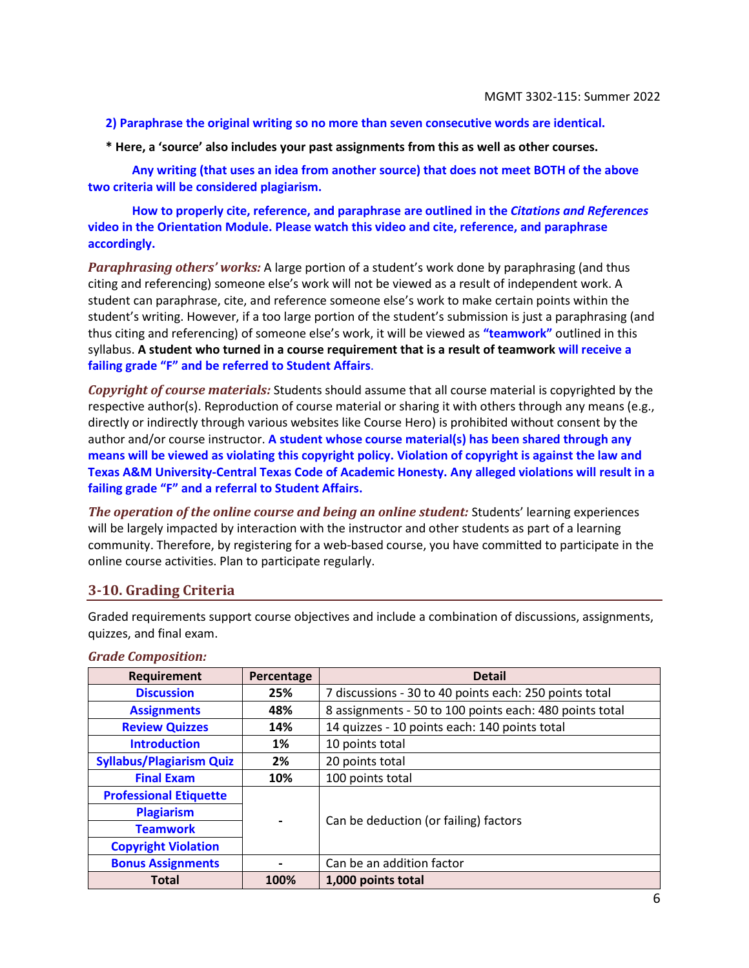#### **2) Paraphrase the original writing so no more than seven consecutive words are identical.**

**\* Here, a 'source' also includes your past assignments from this as well as other courses.**

**Any writing (that uses an idea from another source) that does not meet BOTH of the above two criteria will be considered plagiarism.**

**How to properly cite, reference, and paraphrase are outlined in the** *Citations and References* **video in the Orientation Module. Please watch this video and cite, reference, and paraphrase accordingly.**

*Paraphrasing others' works:* A large portion of a student's work done by paraphrasing (and thus citing and referencing) someone else's work will not be viewed as a result of independent work. A student can paraphrase, cite, and reference someone else's work to make certain points within the student's writing. However, if a too large portion of the student's submission is just a paraphrasing (and thus citing and referencing) of someone else's work, it will be viewed as **"teamwork"** outlined in this syllabus. **A student who turned in a course requirement that is a result of teamwork will receive a failing grade "F" and be referred to Student Affairs**.

*Copyright of course materials:* Students should assume that all course material is copyrighted by the respective author(s). Reproduction of course material or sharing it with others through any means (e.g., directly or indirectly through various websites like Course Hero) is prohibited without consent by the author and/or course instructor. **A student whose course material(s) has been shared through any means will be viewed as violating this copyright policy. Violation of copyright is against the law and Texas A&M University-Central Texas Code of Academic Honesty. Any alleged violations will result in a failing grade "F" and a referral to Student Affairs.**

*The operation of the online course and being an online student:* Students' learning experiences will be largely impacted by interaction with the instructor and other students as part of a learning community. Therefore, by registering for a web-based course, you have committed to participate in the online course activities. Plan to participate regularly.

#### <span id="page-5-0"></span>**3-10. Grading Criteria**

Graded requirements support course objectives and include a combination of discussions, assignments, quizzes, and final exam.

| <b>Requirement</b>              | Percentage | <b>Detail</b>                                           |
|---------------------------------|------------|---------------------------------------------------------|
| <b>Discussion</b>               | 25%        | 7 discussions - 30 to 40 points each: 250 points total  |
| <b>Assignments</b>              | 48%        | 8 assignments - 50 to 100 points each: 480 points total |
| <b>Review Quizzes</b>           | 14%        | 14 quizzes - 10 points each: 140 points total           |
| <b>Introduction</b>             | 1%         | 10 points total                                         |
| <b>Syllabus/Plagiarism Quiz</b> | 2%         | 20 points total                                         |
| <b>Final Exam</b>               | 10%        | 100 points total                                        |
| <b>Professional Etiquette</b>   |            |                                                         |
| <b>Plagiarism</b>               |            | Can be deduction (or failing) factors                   |
| <b>Teamwork</b>                 |            |                                                         |
| <b>Copyright Violation</b>      |            |                                                         |
| <b>Bonus Assignments</b>        |            | Can be an addition factor                               |
| <b>Total</b>                    | 100%       | 1,000 points total                                      |

#### *Grade Composition:*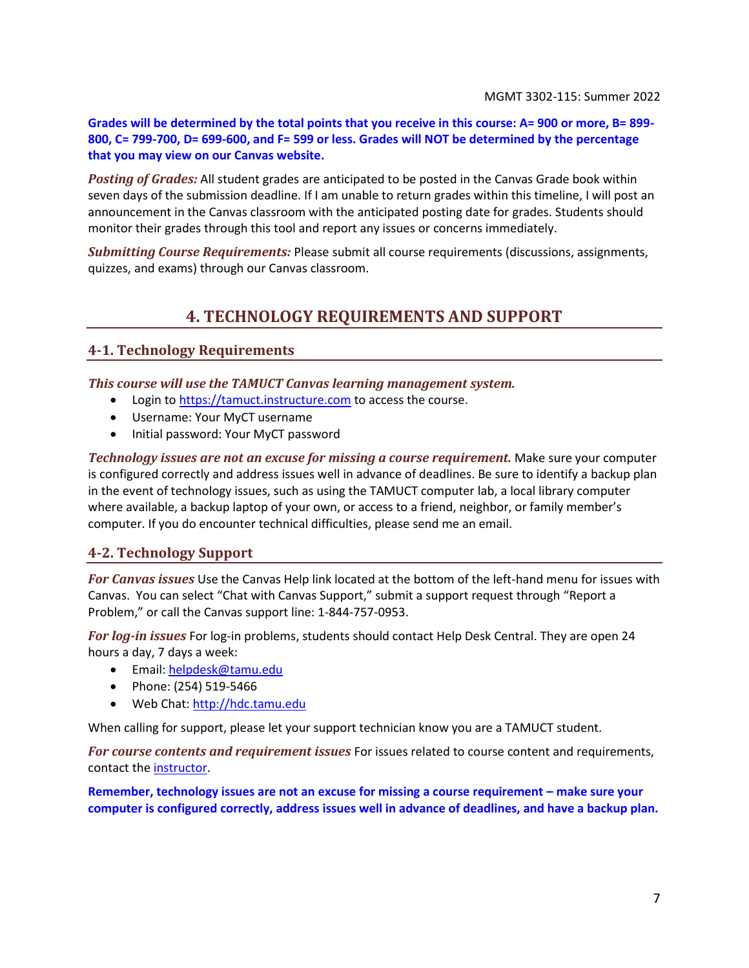**Grades will be determined by the total points that you receive in this course: A= 900 or more, B= 899- 800, C= 799-700, D= 699-600, and F= 599 or less. Grades will NOT be determined by the percentage that you may view on our Canvas website.**

*Posting of Grades:* All student grades are anticipated to be posted in the Canvas Grade book within seven days of the submission deadline. If I am unable to return grades within this timeline, I will post an announcement in the Canvas classroom with the anticipated posting date for grades. Students should monitor their grades through this tool and report any issues or concerns immediately.

<span id="page-6-0"></span>*Submitting Course Requirements:* Please submit all course requirements (discussions, assignments, quizzes, and exams) through our Canvas classroom.

## **4. TECHNOLOGY REQUIREMENTS AND SUPPORT**

## <span id="page-6-2"></span>**4-1. Technology Requirements**

*This course will use the TAMUCT Canvas learning management system.*

- Login to [https://tamuct.instructure.com](https://tamuct.instructure.com/) to access the course.
- Username: Your MyCT username
- Initial password: Your MyCT password

*Technology issues are not an excuse for missing a course requirement.* Make sure your computer is configured correctly and address issues well in advance of deadlines. Be sure to identify a backup plan in the event of technology issues, such as using the TAMUCT computer lab, a local library computer where available, a backup laptop of your own, or access to a friend, neighbor, or family member's computer. If you do encounter technical difficulties, please send me an email.

### **4-2. Technology Support**

*For Canvas issues* Use the Canvas Help link located at the bottom of the left-hand menu for issues with Canvas. You can select "Chat with Canvas Support," submit a support request through "Report a Problem," or call the Canvas support line: 1-844-757-0953.

*For log-in issues* For log-in problems, students should contact Help Desk Central. They are open 24 hours a day, 7 days a week:

- Email: [helpdesk@tamu.edu](mailto:helpdesk@tamu.edu)
- Phone: (254) 519-5466
- <span id="page-6-1"></span>• Web Chat[: http://hdc.tamu.edu](http://hdc.tamu.edu/)

When calling for support, please let your support technician know you are a TAMUCT student.

*For course contents and requirement issues* For issues related to course content and requirements, contact th[e instructor.](#page-0-0)

**Remember, technology issues are not an excuse for missing a course requirement – make sure your computer is configured correctly, address issues well in advance of deadlines, and have a backup plan.**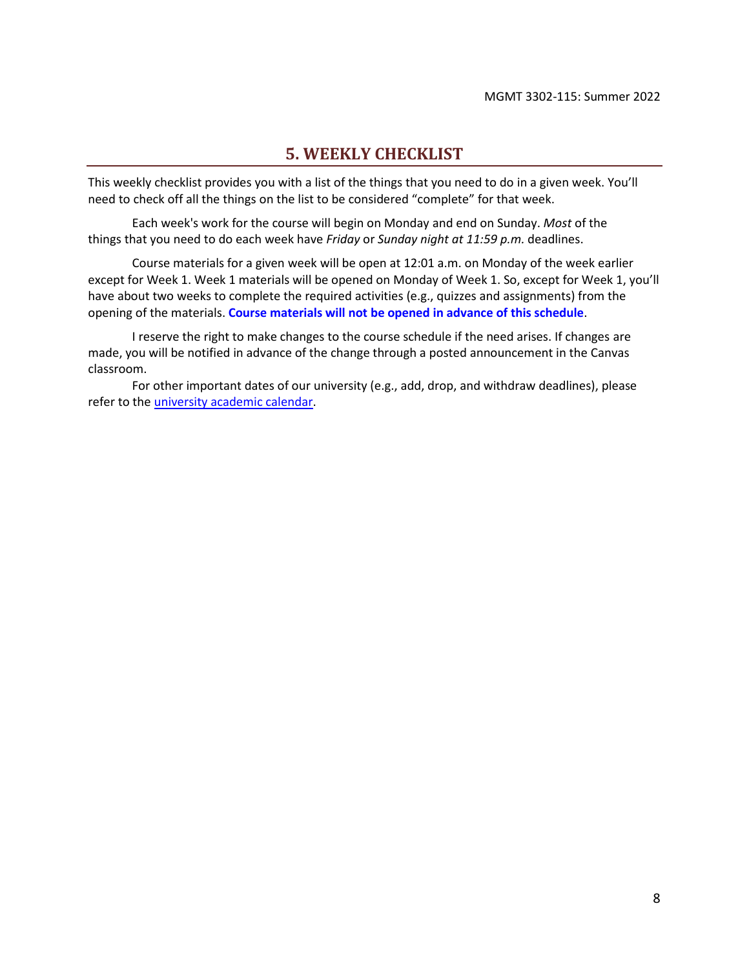## **5. WEEKLY CHECKLIST**

<span id="page-7-0"></span>This weekly checklist provides you with a list of the things that you need to do in a given week. You'll need to check off all the things on the list to be considered "complete" for that week.

Each week's work for the course will begin on Monday and end on Sunday. *Most* of the things that you need to do each week have *Friday* or *Sunday night at 11:59 p.m.* deadlines.

Course materials for a given week will be open at 12:01 a.m. on Monday of the week earlier except for Week 1. Week 1 materials will be opened on Monday of Week 1. So, except for Week 1, you'll have about two weeks to complete the required activities (e.g., quizzes and assignments) from the opening of the materials. **Course materials will not be opened in advance of this schedule**.

I reserve the right to make changes to the course schedule if the need arises. If changes are made, you will be notified in advance of the change through a posted announcement in the Canvas classroom.

For other important dates of our university (e.g., add, drop, and withdraw deadlines), please refer to the [university academic calendar.](https://www.tamuct.edu/registrar/academic-calendar.html)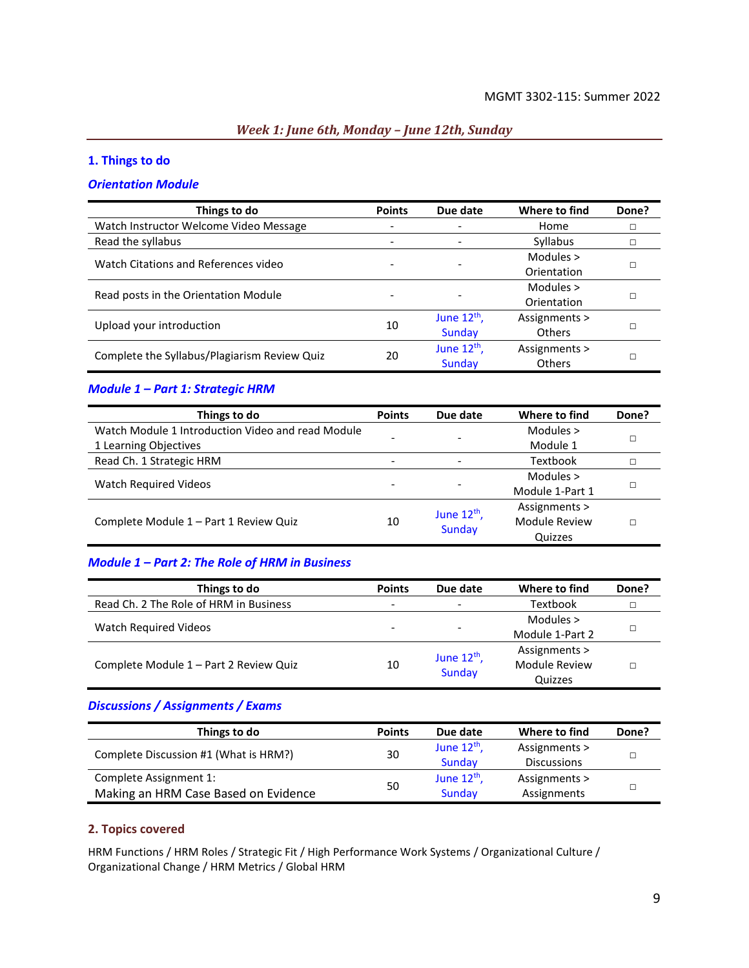#### *Week 1: June 6th, Monday – June 12th, Sunday*

#### **1. Things to do**

#### *Orientation Module*

| Things to do                                 | <b>Points</b> | Due date         | Where to find | Done? |
|----------------------------------------------|---------------|------------------|---------------|-------|
| Watch Instructor Welcome Video Message       |               |                  | Home          | □     |
| Read the syllabus                            |               |                  | Syllabus      |       |
| Watch Citations and References video         |               |                  | Modules >     |       |
|                                              |               |                  | Orientation   |       |
| Read posts in the Orientation Module         |               |                  | Modules $>$   |       |
|                                              |               |                  | Orientation   |       |
|                                              |               | June $12th$ ,    | Assignments > |       |
| Upload your introduction                     | 10            | Sunday           | <b>Others</b> | п     |
|                                              |               | June $12^{th}$ , | Assignments > |       |
| Complete the Syllabus/Plagiarism Review Quiz | 20            | Sunday           | <b>Others</b> |       |

#### *Module 1 – Part 1: Strategic HRM*

| Things to do                                      | <b>Points</b> | Due date                 | Where to find   | Done? |
|---------------------------------------------------|---------------|--------------------------|-----------------|-------|
| Watch Module 1 Introduction Video and read Module |               |                          | Modules $>$     |       |
| 1 Learning Objectives                             |               | $\overline{\phantom{0}}$ | Module 1        |       |
| Read Ch. 1 Strategic HRM                          |               |                          | Textbook        |       |
| <b>Watch Required Videos</b>                      |               | $\overline{\phantom{0}}$ | Modules >       |       |
|                                                   |               |                          | Module 1-Part 1 |       |
|                                                   |               | June $12^{th}$ ,         | Assignments >   |       |
| Complete Module 1 - Part 1 Review Quiz            | 10            | <b>Sunday</b>            | Module Review   |       |
|                                                   |               |                          | Quizzes         |       |

#### *Module 1 – Part 2: The Role of HRM in Business*

| Things to do                           | <b>Points</b>            | Due date                 | Where to find   | Done? |
|----------------------------------------|--------------------------|--------------------------|-----------------|-------|
| Read Ch. 2 The Role of HRM in Business | $\overline{\phantom{0}}$ | $\overline{\phantom{a}}$ | Textbook        |       |
|                                        |                          |                          | Modules $>$     |       |
| Watch Required Videos                  |                          | -                        | Module 1-Part 2 |       |
|                                        |                          | June $12^{th}$ ,         | Assignments >   |       |
| Complete Module 1 - Part 2 Review Quiz | 10                       | Sunday                   | Module Review   |       |
|                                        |                          |                          | Quizzes         |       |

## *Discussions / Assignments / Exams*

| Things to do                          | <b>Points</b> | Due date         | Where to find      | Done? |
|---------------------------------------|---------------|------------------|--------------------|-------|
| Complete Discussion #1 (What is HRM?) | 30            | June $12^{th}$ , | Assignments >      |       |
|                                       |               | Sunday           | <b>Discussions</b> |       |
| Complete Assignment 1:                |               | June $12^{th}$ , | Assignments >      |       |
| Making an HRM Case Based on Evidence  | 50            | Sunday           | Assignments        |       |

#### **2. Topics covered**

HRM Functions / HRM Roles / Strategic Fit / High Performance Work Systems / Organizational Culture / Organizational Change / HRM Metrics / Global HRM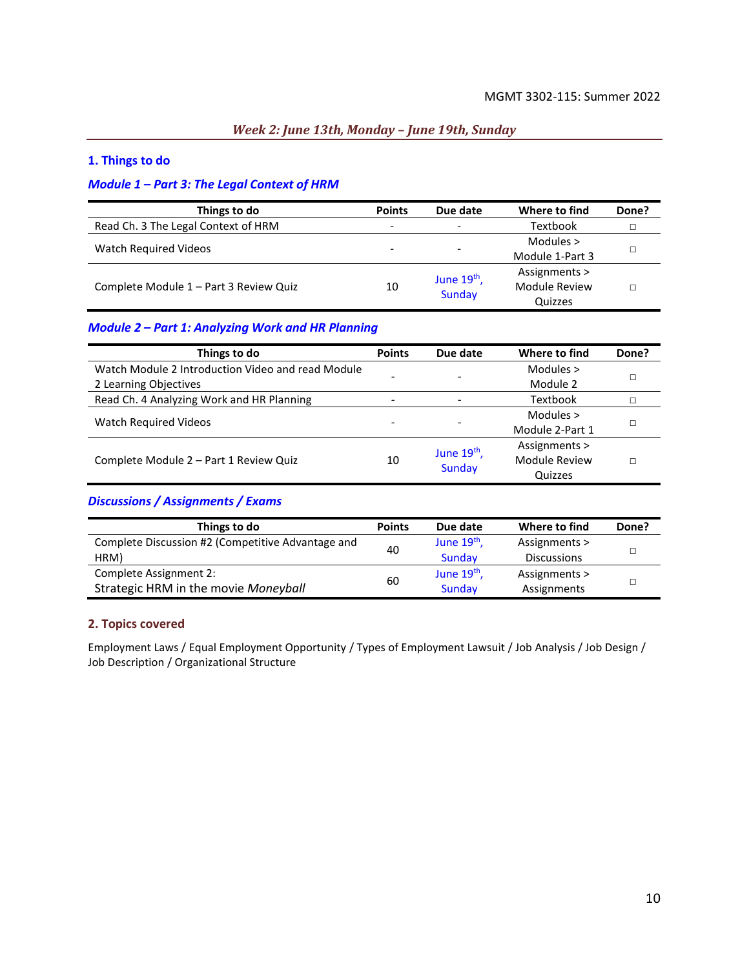#### *Week 2: June 13th, Monday – June 19th, Sunday*

#### **1. Things to do**

#### *Module 1 – Part 3: The Legal Context of HRM*

| Things to do                           | <b>Points</b> | Due date                 | Where to find   | Done? |
|----------------------------------------|---------------|--------------------------|-----------------|-------|
| Read Ch. 3 The Legal Context of HRM    |               | $\overline{\phantom{a}}$ | Textbook        |       |
|                                        |               |                          | Modules $>$     |       |
| <b>Watch Required Videos</b>           |               | $\overline{\phantom{a}}$ | Module 1-Part 3 |       |
| Complete Module 1 - Part 3 Review Quiz | 10            | June $19th$ ,<br>Sunday  | Assignments >   |       |
|                                        |               |                          | Module Review   |       |
|                                        |               |                          | Quizzes         |       |

#### *Module 2 – Part 1: Analyzing Work and HR Planning*

| Things to do                                      | <b>Points</b> | Due date                 | Where to find   | Done? |
|---------------------------------------------------|---------------|--------------------------|-----------------|-------|
| Watch Module 2 Introduction Video and read Module |               | -                        | Modules $>$     |       |
| 2 Learning Objectives                             |               |                          | Module 2        |       |
| Read Ch. 4 Analyzing Work and HR Planning         |               | $\overline{\phantom{a}}$ | Textbook        |       |
| Watch Required Videos                             |               | -                        | Modules >       |       |
|                                                   |               |                          | Module 2-Part 1 |       |
|                                                   |               | June $19th$ ,            | Assignments >   |       |
| Complete Module 2 - Part 1 Review Quiz            | 10            | Sunday                   | Module Review   |       |
|                                                   |               |                          | Quizzes         |       |

#### *Discussions / Assignments / Exams*

| Things to do                                      | <b>Points</b> | Due date      | Where to find      | Done? |
|---------------------------------------------------|---------------|---------------|--------------------|-------|
| Complete Discussion #2 (Competitive Advantage and | 40            | June $19th$ , | Assignments >      |       |
| HRM)                                              |               | Sunday        | <b>Discussions</b> |       |
| Complete Assignment 2:                            |               | June $19th$ , | Assignments >      |       |
| Strategic HRM in the movie Moneyball              | 60            | Sunday        | Assignments        |       |

#### **2. Topics covered**

Employment Laws / Equal Employment Opportunity / Types of Employment Lawsuit / Job Analysis / Job Design / Job Description / Organizational Structure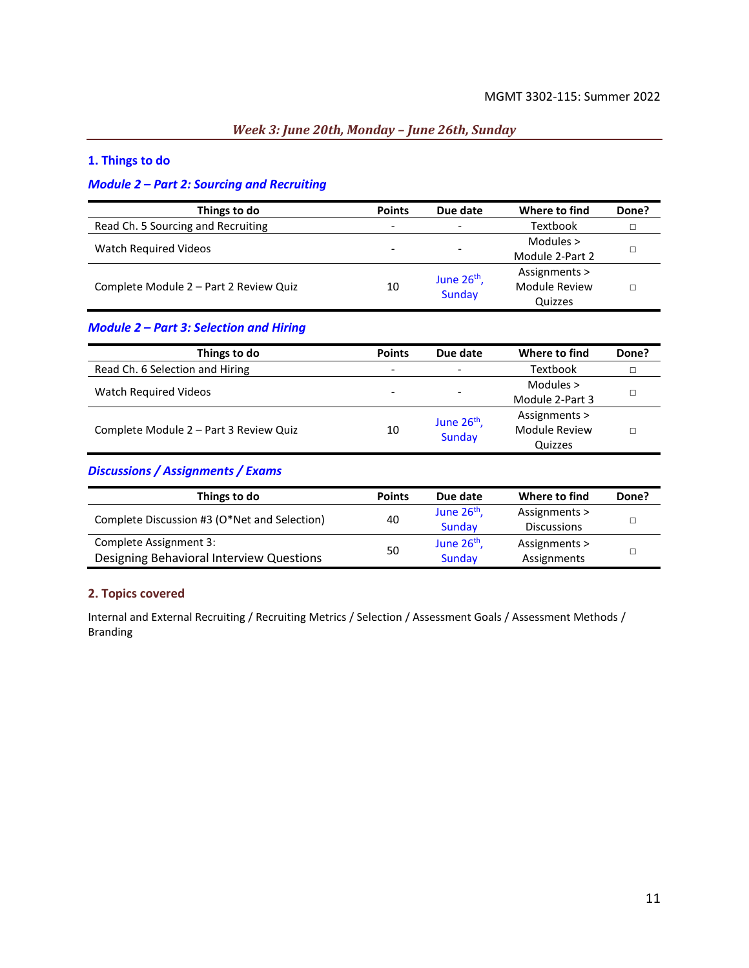#### *Week 3: June 20th, Monday – June 26th, Sunday*

#### **1. Things to do**

#### *Module 2 – Part 2: Sourcing and Recruiting*

| Things to do                           | <b>Points</b> | Due date                 | Where to find   | Done? |
|----------------------------------------|---------------|--------------------------|-----------------|-------|
| Read Ch. 5 Sourcing and Recruiting     | -             | $\overline{\phantom{a}}$ | Textbook        |       |
|                                        |               |                          | Modules $>$     |       |
| Watch Required Videos                  |               | $\overline{\phantom{0}}$ | Module 2-Part 2 |       |
|                                        |               |                          | Assignments >   |       |
| Complete Module 2 - Part 2 Review Quiz | 10            | June $26th$ ,<br>Sunday  | Module Review   |       |
|                                        |               |                          | Quizzes         |       |

#### *Module 2 – Part 3: Selection and Hiring*

| Things to do                           | <b>Points</b> | Due date                                 | Where to find   | Done? |
|----------------------------------------|---------------|------------------------------------------|-----------------|-------|
| Read Ch. 6 Selection and Hiring        | -             | $\qquad \qquad -$                        | Textbook        |       |
| Watch Required Videos                  |               | $\overline{\phantom{0}}$                 | Modules $>$     |       |
|                                        |               |                                          | Module 2-Part 3 |       |
| Complete Module 2 - Part 3 Review Quiz | 10            | June 26 <sup>th</sup> ,<br><b>Sunday</b> | Assignments >   |       |
|                                        |               |                                          | Module Review   |       |
|                                        |               |                                          | Quizzes         |       |

### *Discussions / Assignments / Exams*

| Things to do                                 | <b>Points</b> | Due date      | Where to find      | Done? |
|----------------------------------------------|---------------|---------------|--------------------|-------|
| Complete Discussion #3 (O*Net and Selection) | 40            | June $26th$ , | Assignments >      |       |
|                                              |               | Sunday        | <b>Discussions</b> |       |
| Complete Assignment 3:                       |               | June $26th$ , | Assignments >      |       |
| Designing Behavioral Interview Questions     | 50            | Sunday        | Assignments        |       |

#### **2. Topics covered**

Internal and External Recruiting / Recruiting Metrics / Selection / Assessment Goals / Assessment Methods / Branding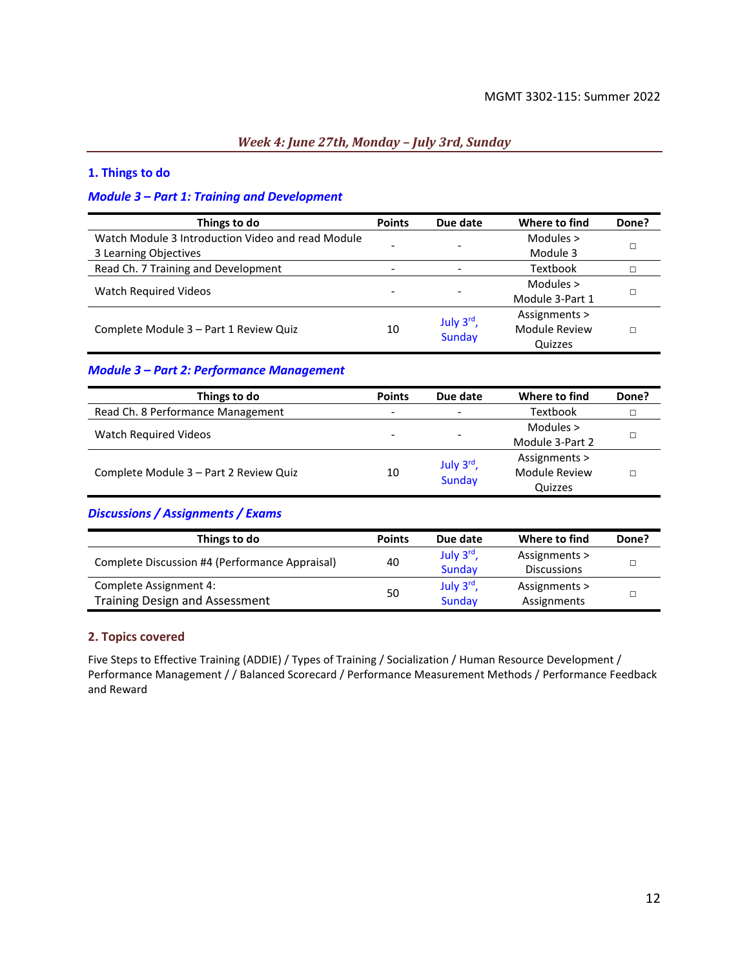#### *Week 4: June 27th, Monday – July 3rd, Sunday*

#### **1. Things to do**

#### *Module 3 – Part 1: Training and Development*

| Things to do                                      | <b>Points</b> | Due date                 | Where to find        | Done? |
|---------------------------------------------------|---------------|--------------------------|----------------------|-------|
| Watch Module 3 Introduction Video and read Module |               |                          | Modules >            |       |
| 3 Learning Objectives                             |               |                          | Module 3             |       |
| Read Ch. 7 Training and Development               | -             | $\overline{\phantom{0}}$ | Textbook             |       |
| <b>Watch Required Videos</b>                      |               |                          | Modules >            |       |
|                                                   |               |                          | Module 3-Part 1      |       |
|                                                   |               | July 3rd,                | Assignments >        |       |
| Complete Module 3 - Part 1 Review Quiz            | 10            | <b>Sunday</b>            | <b>Module Review</b> |       |
|                                                   |               |                          | Quizzes              |       |

#### *Module 3 – Part 2: Performance Management*

| Things to do                           | <b>Points</b> | Due date                 | Where to find   | Done? |
|----------------------------------------|---------------|--------------------------|-----------------|-------|
| Read Ch. 8 Performance Management      |               | $\overline{\phantom{a}}$ | <b>Textbook</b> |       |
|                                        |               |                          | Modules $>$     |       |
| Watch Required Videos                  |               | $\overline{\phantom{0}}$ | Module 3-Part 2 |       |
|                                        |               | July 3rd,                | Assignments >   |       |
| Complete Module 3 - Part 2 Review Quiz | 10            | <b>Sunday</b>            | Module Review   |       |
|                                        |               |                          | Quizzes         |       |

#### *Discussions / Assignments / Exams*

| Things to do                                   | <b>Points</b> | Due date  | Where to find      | Done? |
|------------------------------------------------|---------------|-----------|--------------------|-------|
|                                                | 40            | July 3rd, | Assignments >      |       |
| Complete Discussion #4 (Performance Appraisal) |               | Sunday    | <b>Discussions</b> |       |
| Complete Assignment 4:                         |               | July 3rd, | Assignments >      |       |
| <b>Training Design and Assessment</b>          | 50            | Sunday    | Assignments        |       |

#### **2. Topics covered**

Five Steps to Effective Training (ADDIE) / Types of Training / Socialization / Human Resource Development / Performance Management / / Balanced Scorecard / Performance Measurement Methods / Performance Feedback and Reward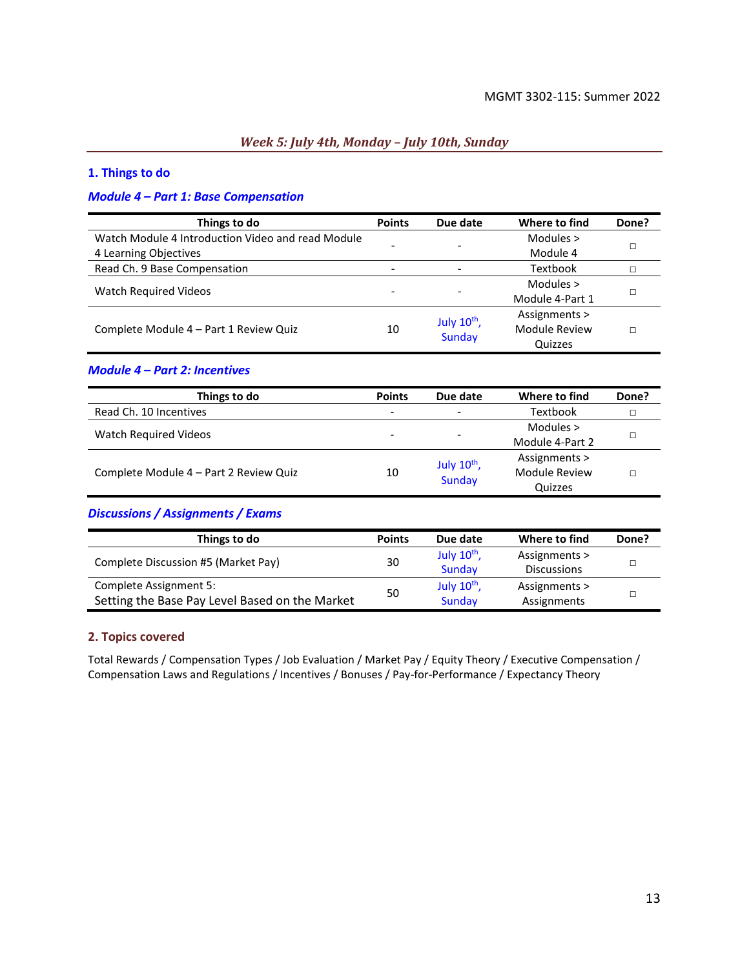#### *Week 5: July 4th, Monday – July 10th, Sunday*

#### **1. Things to do**

#### *Module 4 – Part 1: Base Compensation*

| Things to do                                      | <b>Points</b> | Due date         | Where to find   | Done? |
|---------------------------------------------------|---------------|------------------|-----------------|-------|
| Watch Module 4 Introduction Video and read Module |               |                  | Modules $>$     |       |
| 4 Learning Objectives                             |               |                  | Module 4        |       |
| Read Ch. 9 Base Compensation                      |               |                  | Textbook        |       |
| <b>Watch Required Videos</b>                      |               |                  | Modules >       |       |
|                                                   |               |                  | Module 4-Part 1 |       |
|                                                   |               | July $10^{th}$ , | Assignments >   |       |
| Complete Module 4 – Part 1 Review Quiz            | 10            | <b>Sunday</b>    | Module Review   |       |
|                                                   |               |                  | Quizzes         |       |

#### *Module 4 – Part 2: Incentives*

| Things to do                           | <b>Points</b>            | Due date                 | Where to find   | Done? |
|----------------------------------------|--------------------------|--------------------------|-----------------|-------|
| Read Ch. 10 Incentives                 | $\overline{\phantom{0}}$ | $\overline{\phantom{a}}$ | Textbook        |       |
|                                        |                          |                          | Modules $>$     |       |
| Watch Required Videos                  | -                        | $\overline{\phantom{a}}$ | Module 4-Part 2 |       |
|                                        |                          | July $10^{th}$ ,         | Assignments >   |       |
| Complete Module 4 - Part 2 Review Quiz | 10                       | <b>Sunday</b>            | Module Review   |       |
|                                        |                          |                          | Quizzes         |       |

#### *Discussions / Assignments / Exams*

| Things to do                                   | <b>Points</b> | Due date         | Where to find      | Done? |
|------------------------------------------------|---------------|------------------|--------------------|-------|
| Complete Discussion #5 (Market Pay)            | 30            | July $10^{th}$ , | Assignments >      |       |
|                                                |               | Sunday           | <b>Discussions</b> |       |
| Complete Assignment 5:                         |               | July $10^{th}$ , | Assignments >      |       |
| Setting the Base Pay Level Based on the Market | 50            | Sunday           | Assignments        |       |

#### **2. Topics covered**

Total Rewards / Compensation Types / Job Evaluation / Market Pay / Equity Theory / Executive Compensation / Compensation Laws and Regulations / Incentives / Bonuses / Pay-for-Performance / Expectancy Theory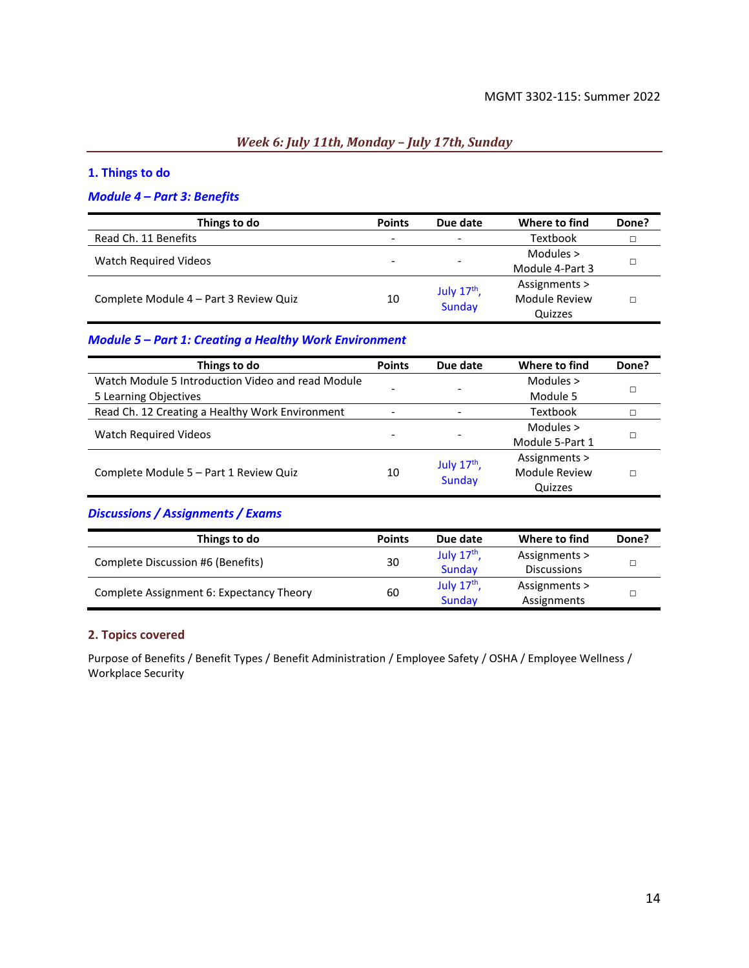## *Week 6: July 11th, Monday – July 17th, Sunday*

#### **1. Things to do**

#### *Module 4 – Part 3: Benefits*

| Things to do                           | <b>Points</b>            | Due date                 | Where to find   | Done? |
|----------------------------------------|--------------------------|--------------------------|-----------------|-------|
| Read Ch. 11 Benefits                   | $\overline{\phantom{0}}$ | $\overline{\phantom{0}}$ | Textbook        |       |
|                                        |                          |                          | Modules $>$     |       |
| Watch Required Videos                  |                          |                          | Module 4-Part 3 |       |
|                                        |                          | July $17th$ ,            | Assignments >   |       |
| Complete Module 4 - Part 3 Review Quiz | 10                       | Sunday                   | Module Review   |       |
|                                        |                          |                          | Quizzes         |       |

#### *Module 5 – Part 1: Creating a Healthy Work Environment*

| Things to do                                      | <b>Points</b> | Due date      | Where to find        | Done? |
|---------------------------------------------------|---------------|---------------|----------------------|-------|
| Watch Module 5 Introduction Video and read Module |               |               | Modules $>$          |       |
| 5 Learning Objectives                             |               |               | Module 5             |       |
| Read Ch. 12 Creating a Healthy Work Environment   |               |               | Textbook             |       |
|                                                   |               |               | Modules $>$          |       |
| Watch Required Videos                             |               |               | Module 5-Part 1      |       |
|                                                   |               | July $17th$ , | Assignments >        |       |
| Complete Module 5 - Part 1 Review Quiz            | 10            | <b>Sunday</b> | <b>Module Review</b> |       |
|                                                   |               |               | Quizzes              |       |

#### *Discussions / Assignments / Exams*

| Things to do                             | <b>Points</b> | Due date      | Where to find      | Done? |
|------------------------------------------|---------------|---------------|--------------------|-------|
| Complete Discussion #6 (Benefits)        | 30            | July $17th$ , | Assignments >      |       |
|                                          |               | Sunday        | <b>Discussions</b> |       |
| Complete Assignment 6: Expectancy Theory | 60            | July $17th$ , | Assignments >      |       |
|                                          |               | Sunday        | Assignments        |       |

#### **2. Topics covered**

Purpose of Benefits / Benefit Types / Benefit Administration / Employee Safety / OSHA / Employee Wellness / Workplace Security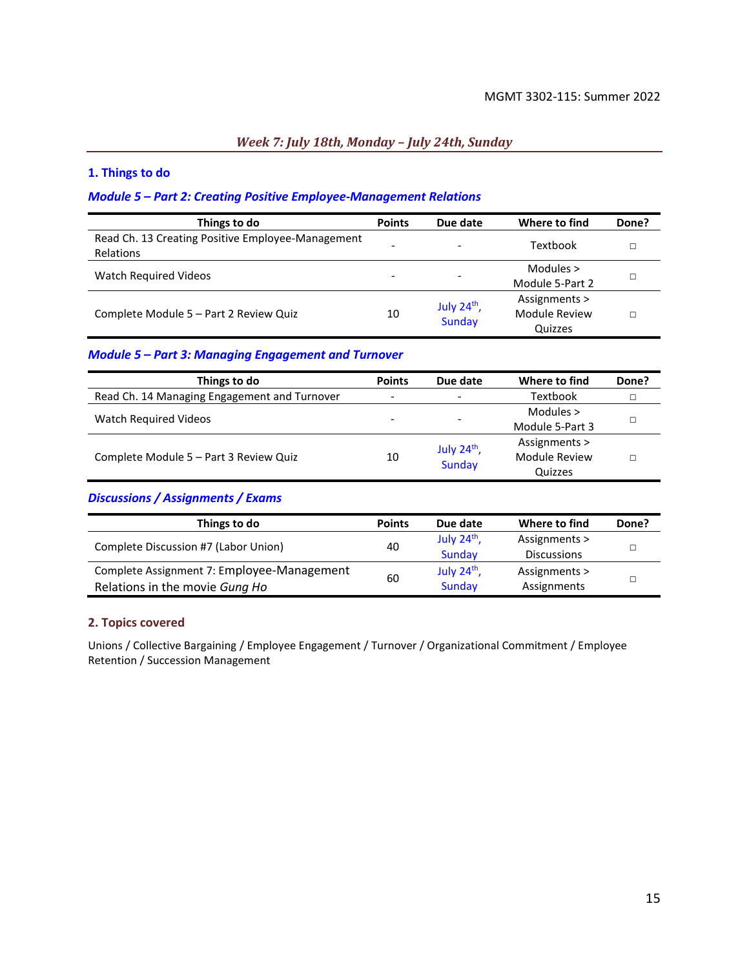#### *Week 7: July 18th, Monday – July 24th, Sunday*

#### **1. Things to do**

#### *Module 5 – Part 2: Creating Positive Employee-Management Relations*

| Things to do                                                   | <b>Points</b> | Due date                       | Where to find                             | Done? |
|----------------------------------------------------------------|---------------|--------------------------------|-------------------------------------------|-------|
| Read Ch. 13 Creating Positive Employee-Management<br>Relations |               | $\overline{\phantom{a}}$       | Textbook                                  |       |
| <b>Watch Required Videos</b>                                   | -             | $\overline{\phantom{a}}$       | Modules $>$<br>Module 5-Part 2            |       |
| Complete Module 5 - Part 2 Review Quiz                         | 10            | July $24th$ ,<br><b>Sunday</b> | Assignments ><br>Module Review<br>Quizzes |       |

#### *Module 5 – Part 3: Managing Engagement and Turnover*

| Things to do                                 | <b>Points</b>            | Due date                 | Where to find   | Done? |
|----------------------------------------------|--------------------------|--------------------------|-----------------|-------|
| Read Ch. 14 Managing Engagement and Turnover | $\overline{\phantom{a}}$ | $\overline{\phantom{a}}$ | Textbook        |       |
|                                              | -                        |                          | Modules $>$     |       |
| Watch Required Videos                        |                          | $\overline{\phantom{0}}$ | Module 5-Part 3 |       |
|                                              |                          | July $24^{th}$ ,         | Assignments >   |       |
| Complete Module 5 - Part 3 Review Quiz       | 10                       | <b>Sunday</b>            | Module Review   |       |
|                                              |                          |                          | Quizzes         |       |

#### *Discussions / Assignments / Exams*

| Things to do                               | <b>Points</b> | Due date      | Where to find      | Done? |
|--------------------------------------------|---------------|---------------|--------------------|-------|
| Complete Discussion #7 (Labor Union)       | 40            | July $24th$ , | Assignments >      |       |
|                                            |               | Sunday        | <b>Discussions</b> |       |
| Complete Assignment 7: Employee-Management |               | July $24th$ , | Assignments >      |       |
| Relations in the movie Gung Ho             | 60            | Sunday        | Assignments        |       |

#### **2. Topics covered**

Unions / Collective Bargaining / Employee Engagement / Turnover / Organizational Commitment / Employee Retention / Succession Management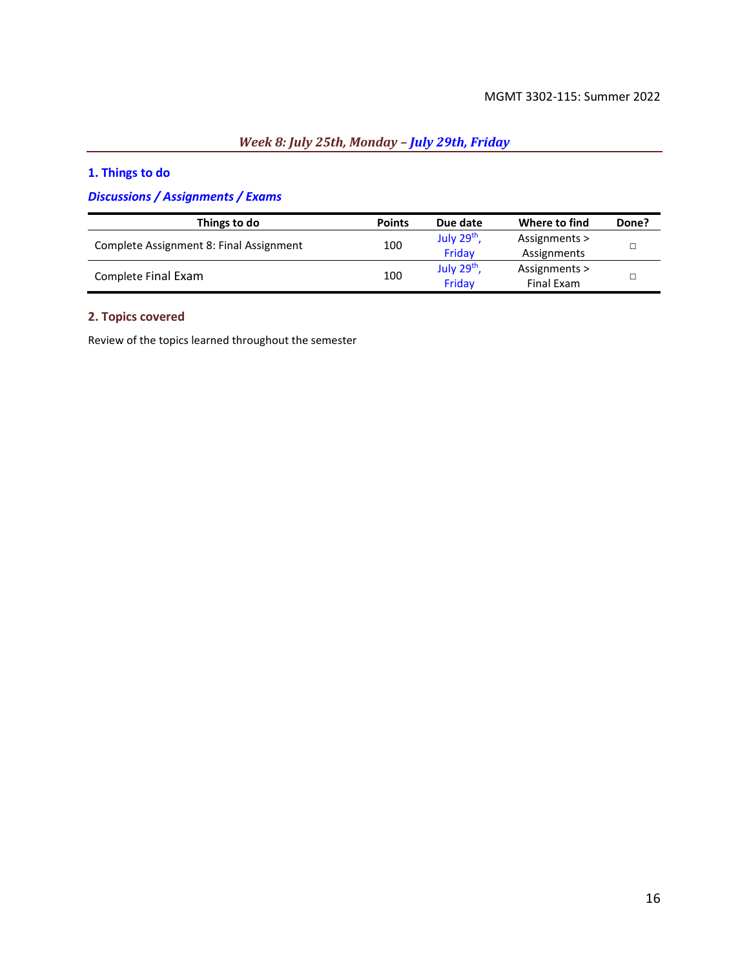## *Week 8: July 25th, Monday – July 29th, Friday*

## **1. Things to do**

## *Discussions / Assignments / Exams*

| Things to do                            | <b>Points</b> | Due date                | Where to find | Done? |
|-----------------------------------------|---------------|-------------------------|---------------|-------|
| Complete Assignment 8: Final Assignment | 100           | July 29 <sup>th</sup> , | Assignments > |       |
|                                         |               | Fridav                  | Assignments   |       |
| Complete Final Exam                     |               | July 29 <sup>th</sup> , | Assignments > |       |
|                                         | 100           | Friday                  | Final Exam    |       |

#### **2. Topics covered**

Review of the topics learned throughout the semester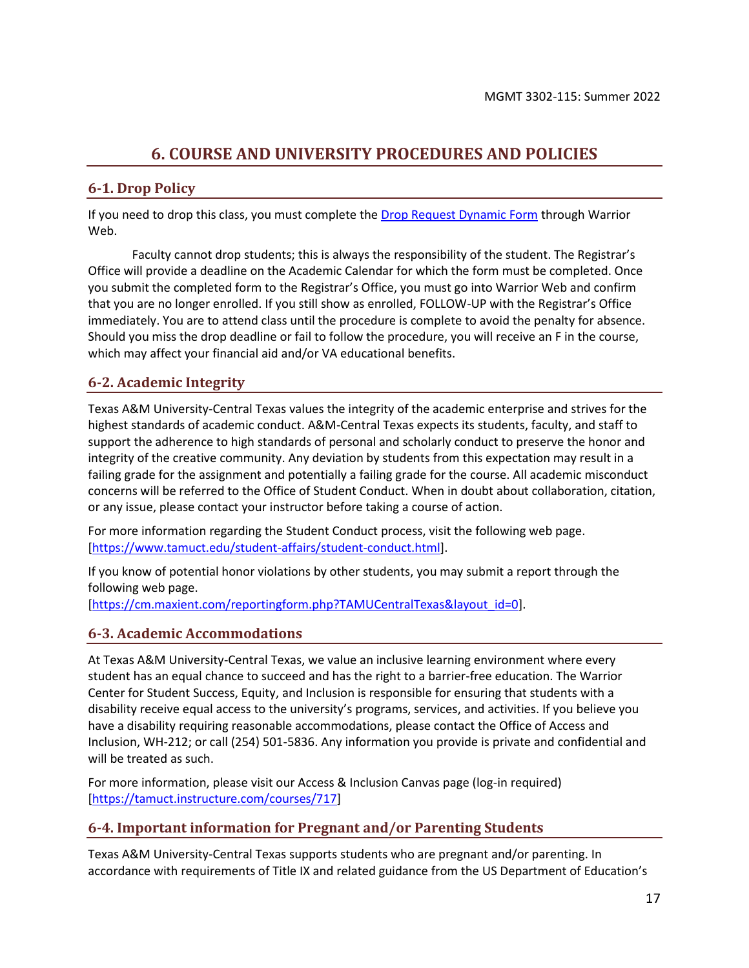## **6. COURSE AND UNIVERSITY PROCEDURES AND POLICIES**

### <span id="page-16-0"></span>**6-1. Drop Policy**

If you need to drop this class, you must complete th[e Drop Request Dynamic Form](https://federation.ngwebsolutions.com/sp/startSSO.ping?PartnerIdpId=https://eis-prod.ec.tamuct.edu:443/samlsso&SpSessionAuthnAdapterId=tamuctDF&TargetResource=https%3a%2f%2fdynamicforms.ngwebsolutions.com%2fSubmit%2fStart%2f53b8369e-0502-4f36-be43-f02a4202f612) through Warrior Web.

Faculty cannot drop students; this is always the responsibility of the student. The Registrar's Office will provide a deadline on the Academic Calendar for which the form must be completed. Once you submit the completed form to the Registrar's Office, you must go into Warrior Web and confirm that you are no longer enrolled. If you still show as enrolled, FOLLOW-UP with the Registrar's Office immediately. You are to attend class until the procedure is complete to avoid the penalty for absence. Should you miss the drop deadline or fail to follow the procedure, you will receive an F in the course, which may affect your financial aid and/or VA educational benefits.

## **6-2. Academic Integrity**

Texas A&M University-Central Texas values the integrity of the academic enterprise and strives for the highest standards of academic conduct. A&M-Central Texas expects its students, faculty, and staff to support the adherence to high standards of personal and scholarly conduct to preserve the honor and integrity of the creative community. Any deviation by students from this expectation may result in a failing grade for the assignment and potentially a failing grade for the course. All academic misconduct concerns will be referred to the Office of Student Conduct. When in doubt about collaboration, citation, or any issue, please contact your instructor before taking a course of action.

For more information regarding the Student Conduct process, visit the following web page. [\[https://www.tamuct.edu/student-affairs/student-conduct.html\]](https://www.tamuct.edu/student-affairs/student-conduct.html).

If you know of potential honor violations by other students, you may submit a report through the following web page.

[\[https://cm.maxient.com/reportingform.php?TAMUCentralTexas&layout\\_id=0\]](https://cm.maxient.com/reportingform.php?TAMUCentralTexas&layout_id=0).

#### **6-3. Academic Accommodations**

At Texas A&M University-Central Texas, we value an inclusive learning environment where every student has an equal chance to succeed and has the right to a barrier-free education. The Warrior Center for Student Success, Equity, and Inclusion is responsible for ensuring that students with a disability receive equal access to the university's programs, services, and activities. If you believe you have a disability requiring reasonable accommodations, please contact the Office of Access and Inclusion, WH-212; or call (254) 501-5836. Any information you provide is private and confidential and will be treated as such.

For more information, please visit our Access & Inclusion Canvas page (log-in required) [\[https://tamuct.instructure.com/courses/717\]](https://tamuct.instructure.com/courses/717)

### **6-4. Important information for Pregnant and/or Parenting Students**

Texas A&M University-Central Texas supports students who are pregnant and/or parenting. In accordance with requirements of Title IX and related guidance from the US Department of Education's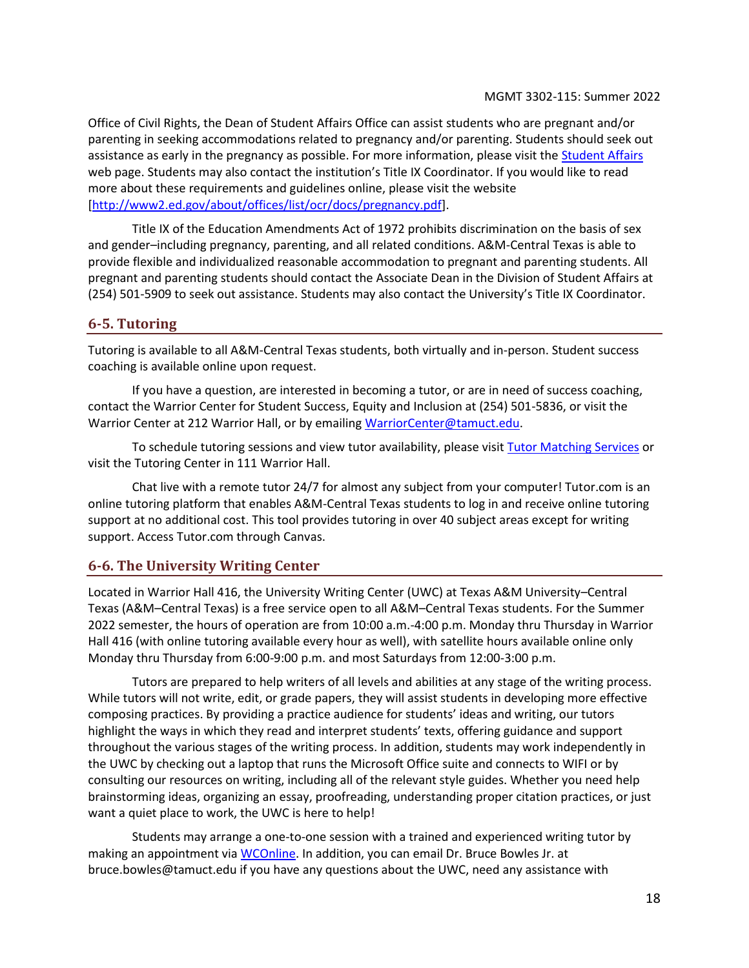Office of Civil Rights, the Dean of Student Affairs Office can assist students who are pregnant and/or parenting in seeking accommodations related to pregnancy and/or parenting. Students should seek out assistance as early in the pregnancy as possible. For more information, please visit the [Student Affairs](https://www.tamuct.edu/student-affairs/index.html) web page. Students may also contact the institution's Title IX Coordinator. If you would like to read more about these requirements and guidelines online, please visit the website [\[http://www2.ed.gov/about/offices/list/ocr/docs/pregnancy.pdf\]](http://www2.ed.gov/about/offices/list/ocr/docs/pregnancy.pdf).

Title IX of the Education Amendments Act of 1972 prohibits discrimination on the basis of sex and gender–including pregnancy, parenting, and all related conditions. A&M-Central Texas is able to provide flexible and individualized reasonable accommodation to pregnant and parenting students. All pregnant and parenting students should contact the Associate Dean in the Division of Student Affairs at (254) 501-5909 to seek out assistance. Students may also contact the University's Title IX Coordinator.

#### **6-5. Tutoring**

Tutoring is available to all A&M-Central Texas students, both virtually and in-person. Student success coaching is available online upon request.

If you have a question, are interested in becoming a tutor, or are in need of success coaching, contact the Warrior Center for Student Success, Equity and Inclusion at (254) 501-5836, or visit the Warrior Center at 212 Warrior Hall, or by emailing [WarriorCenter@tamuct.edu.](mailto:WarriorCenter@tamuct.edu)

To schedule tutoring sessions and view tutor availability, please visi[t Tutor Matching Services](https://tutormatchingservice.com/TAMUCT) or visit the Tutoring Center in 111 Warrior Hall.

Chat live with a remote tutor 24/7 for almost any subject from your computer! Tutor.com is an online tutoring platform that enables A&M-Central Texas students to log in and receive online tutoring support at no additional cost. This tool provides tutoring in over 40 subject areas except for writing support. Access Tutor.com through Canvas.

#### **6-6. The University Writing Center**

Located in Warrior Hall 416, the University Writing Center (UWC) at Texas A&M University–Central Texas (A&M–Central Texas) is a free service open to all A&M–Central Texas students. For the Summer 2022 semester, the hours of operation are from 10:00 a.m.-4:00 p.m. Monday thru Thursday in Warrior Hall 416 (with online tutoring available every hour as well), with satellite hours available online only Monday thru Thursday from 6:00-9:00 p.m. and most Saturdays from 12:00-3:00 p.m.

Tutors are prepared to help writers of all levels and abilities at any stage of the writing process. While tutors will not write, edit, or grade papers, they will assist students in developing more effective composing practices. By providing a practice audience for students' ideas and writing, our tutors highlight the ways in which they read and interpret students' texts, offering guidance and support throughout the various stages of the writing process. In addition, students may work independently in the UWC by checking out a laptop that runs the Microsoft Office suite and connects to WIFI or by consulting our resources on writing, including all of the relevant style guides. Whether you need help brainstorming ideas, organizing an essay, proofreading, understanding proper citation practices, or just want a quiet place to work, the UWC is here to help!

Students may arrange a one-to-one session with a trained and experienced writing tutor by making an appointment vi[a WCOnline.](https://tamuct.mywconline.com/) In addition, you can email Dr. Bruce Bowles Jr. at bruce.bowles@tamuct.edu if you have any questions about the UWC, need any assistance with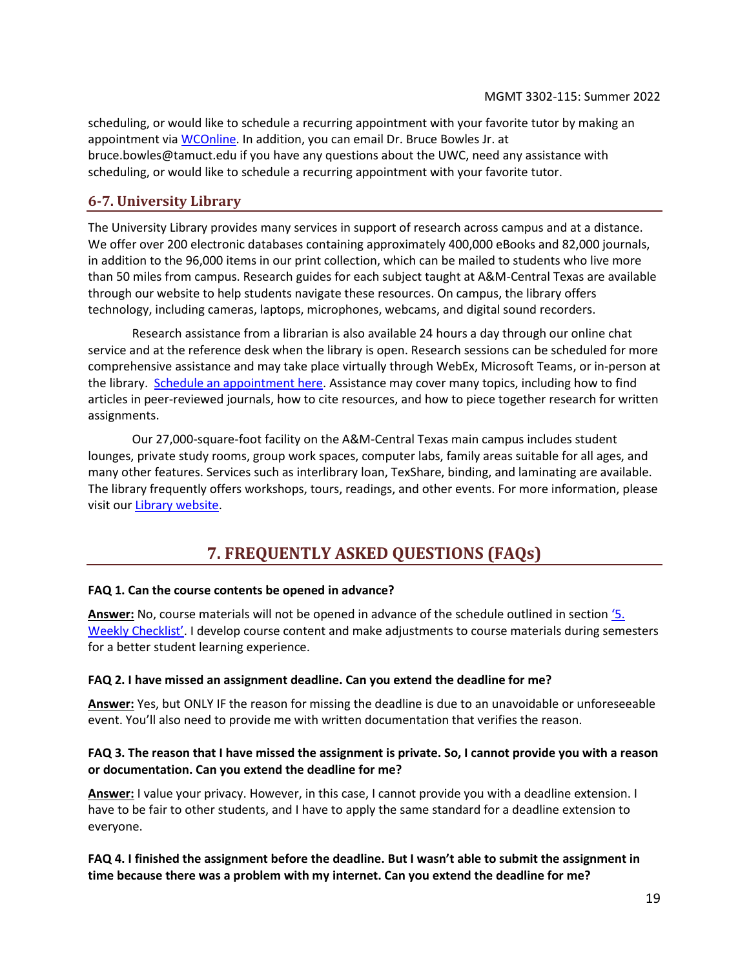scheduling, or would like to schedule a recurring appointment with your favorite tutor by making an appointment via [WCOnline.](https://tamuct.mywconline.com/) In addition, you can email Dr. Bruce Bowles Jr. at bruce.bowles@tamuct.edu if you have any questions about the UWC, need any assistance with scheduling, or would like to schedule a recurring appointment with your favorite tutor.

## **6-7. University Library**

The University Library provides many services in support of research across campus and at a distance. We offer over 200 electronic databases containing approximately 400,000 eBooks and 82,000 journals, in addition to the 96,000 items in our print collection, which can be mailed to students who live more than 50 miles from campus. Research guides for each subject taught at A&M-Central Texas are available through our website to help students navigate these resources. On campus, the library offers technology, including cameras, laptops, microphones, webcams, and digital sound recorders.

Research assistance from a librarian is also available 24 hours a day through our online chat service and at the reference desk when the library is open. Research sessions can be scheduled for more comprehensive assistance and may take place virtually through WebEx, Microsoft Teams, or in-person at the library. [Schedule an appointment here.](https://tamuct.libcal.com/appointments/?g=6956) Assistance may cover many topics, including how to find articles in peer-reviewed journals, how to cite resources, and how to piece together research for written assignments.

Our 27,000-square-foot facility on the A&M-Central Texas main campus includes student lounges, private study rooms, group work spaces, computer labs, family areas suitable for all ages, and many other features. Services such as interlibrary loan, TexShare, binding, and laminating are available. The library frequently offers workshops, tours, readings, and other events. For more information, please visit ou[r Library website.](http://tamuct.libguides.com/index)

## **7. FREQUENTLY ASKED QUESTIONS (FAQs)**

#### <span id="page-18-0"></span>**FAQ 1. Can the course contents be opened in advance?**

**Answer:** No, course materials will not be opened in advance of the schedule outlined in section ['5](#page-6-1). [Weekly Checklist'](#page-6-1). I develop course content and make adjustments to course materials during semesters for a better student learning experience.

#### **FAQ 2. I have missed an assignment deadline. Can you extend the deadline for me?**

**Answer:** Yes, but ONLY IF the reason for missing the deadline is due to an unavoidable or unforeseeable event. You'll also need to provide me with written documentation that verifies the reason.

#### **FAQ 3. The reason that I have missed the assignment is private. So, I cannot provide you with a reason or documentation. Can you extend the deadline for me?**

**Answer:** I value your privacy. However, in this case, I cannot provide you with a deadline extension. I have to be fair to other students, and I have to apply the same standard for a deadline extension to everyone.

#### **FAQ 4. I finished the assignment before the deadline. But I wasn't able to submit the assignment in time because there was a problem with my internet. Can you extend the deadline for me?**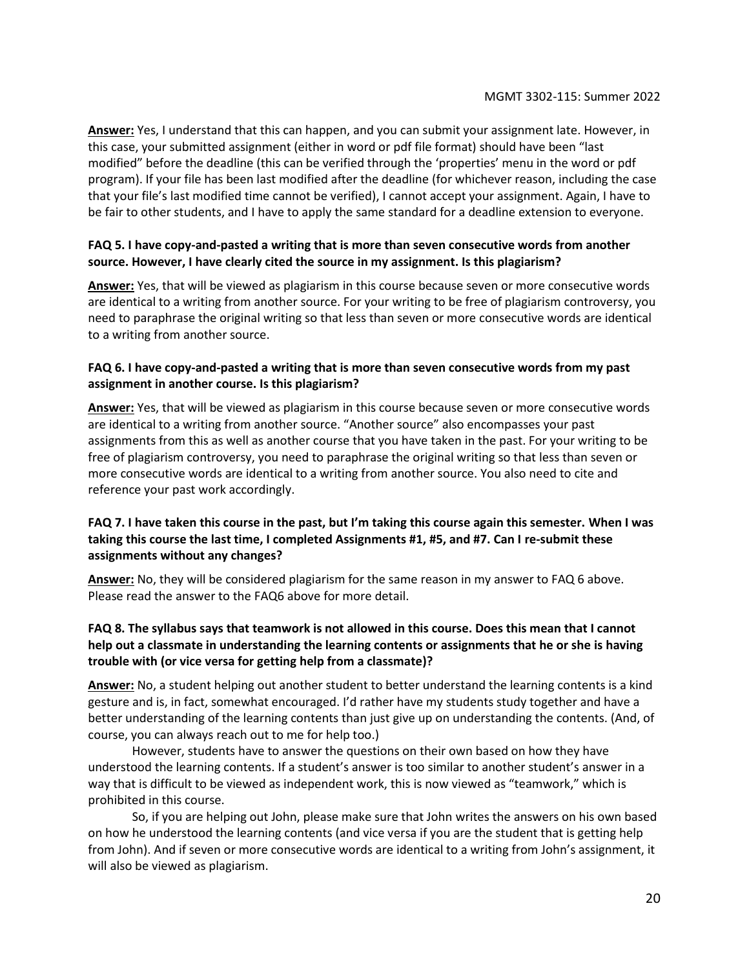**Answer:** Yes, I understand that this can happen, and you can submit your assignment late. However, in this case, your submitted assignment (either in word or pdf file format) should have been "last modified" before the deadline (this can be verified through the 'properties' menu in the word or pdf program). If your file has been last modified after the deadline (for whichever reason, including the case that your file's last modified time cannot be verified), I cannot accept your assignment. Again, I have to be fair to other students, and I have to apply the same standard for a deadline extension to everyone.

#### **FAQ 5. I have copy-and-pasted a writing that is more than seven consecutive words from another source. However, I have clearly cited the source in my assignment. Is this plagiarism?**

**Answer:** Yes, that will be viewed as plagiarism in this course because seven or more consecutive words are identical to a writing from another source. For your writing to be free of plagiarism controversy, you need to paraphrase the original writing so that less than seven or more consecutive words are identical to a writing from another source.

#### **FAQ 6. I have copy-and-pasted a writing that is more than seven consecutive words from my past assignment in another course. Is this plagiarism?**

**Answer:** Yes, that will be viewed as plagiarism in this course because seven or more consecutive words are identical to a writing from another source. "Another source" also encompasses your past assignments from this as well as another course that you have taken in the past. For your writing to be free of plagiarism controversy, you need to paraphrase the original writing so that less than seven or more consecutive words are identical to a writing from another source. You also need to cite and reference your past work accordingly.

#### **FAQ 7. I have taken this course in the past, but I'm taking this course again this semester. When I was taking this course the last time, I completed Assignments #1, #5, and #7. Can I re-submit these assignments without any changes?**

**Answer:** No, they will be considered plagiarism for the same reason in my answer to FAQ 6 above. Please read the answer to the FAQ6 above for more detail.

### **FAQ 8. The syllabus says that teamwork is not allowed in this course. Does this mean that I cannot help out a classmate in understanding the learning contents or assignments that he or she is having trouble with (or vice versa for getting help from a classmate)?**

**Answer:** No, a student helping out another student to better understand the learning contents is a kind gesture and is, in fact, somewhat encouraged. I'd rather have my students study together and have a better understanding of the learning contents than just give up on understanding the contents. (And, of course, you can always reach out to me for help too.)

However, students have to answer the questions on their own based on how they have understood the learning contents. If a student's answer is too similar to another student's answer in a way that is difficult to be viewed as independent work, this is now viewed as "teamwork," which is prohibited in this course.

So, if you are helping out John, please make sure that John writes the answers on his own based on how he understood the learning contents (and vice versa if you are the student that is getting help from John). And if seven or more consecutive words are identical to a writing from John's assignment, it will also be viewed as plagiarism.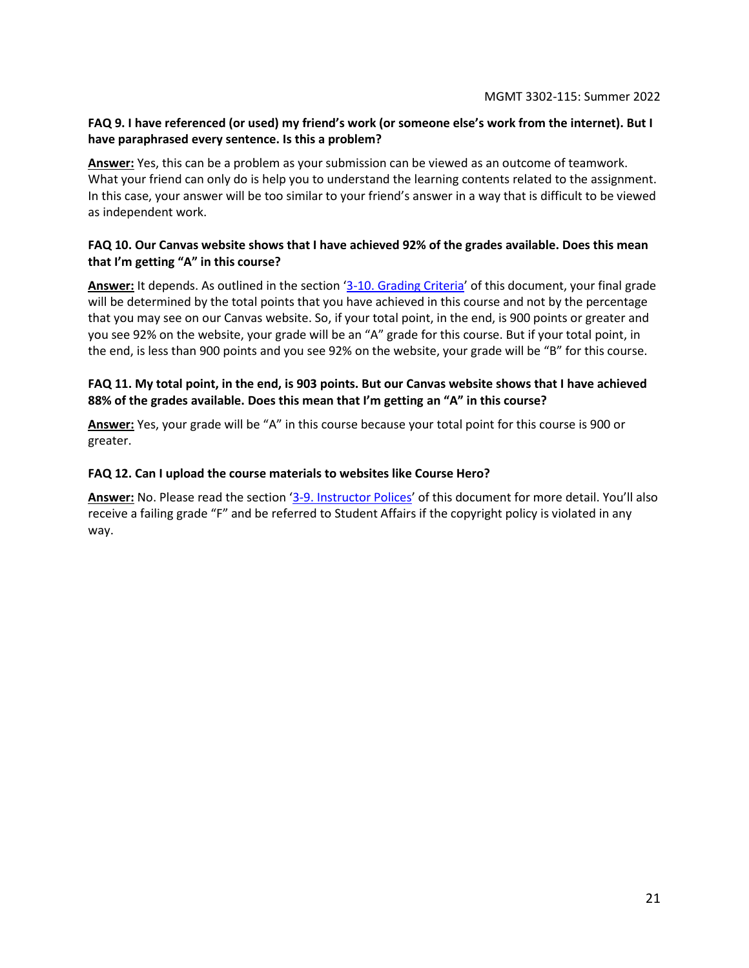#### **FAQ 9. I have referenced (or used) my friend's work (or someone else's work from the internet). But I have paraphrased every sentence. Is this a problem?**

**Answer:** Yes, this can be a problem as your submission can be viewed as an outcome of teamwork. What your friend can only do is help you to understand the learning contents related to the assignment. In this case, your answer will be too similar to your friend's answer in a way that is difficult to be viewed as independent work.

#### **FAQ 10. Our Canvas website shows that I have achieved 92% of the grades available. Does this mean that I'm getting "A" in this course?**

**Answer:** It depends. As outlined in the section '[3-10. Grading Criteria](#page-5-0)' of this document, your final grade will be determined by the total points that you have achieved in this course and not by the percentage that you may see on our Canvas website. So, if your total point, in the end, is 900 points or greater and you see 92% on the website, your grade will be an "A" grade for this course. But if your total point, in the end, is less than 900 points and you see 92% on the website, your grade will be "B" for this course.

#### **FAQ 11. My total point, in the end, is 903 points. But our Canvas website shows that I have achieved 88% of the grades available. Does this mean that I'm getting an "A" in this course?**

**Answer:** Yes, your grade will be "A" in this course because your total point for this course is 900 or greater.

#### **FAQ 12. Can I upload the course materials to websites like Course Hero?**

**Answer:** No. Please read the section '[3-9. Instructor Polices](#page-4-1)' of this document for more detail. You'll also receive a failing grade "F" and be referred to Student Affairs if the copyright policy is violated in any way.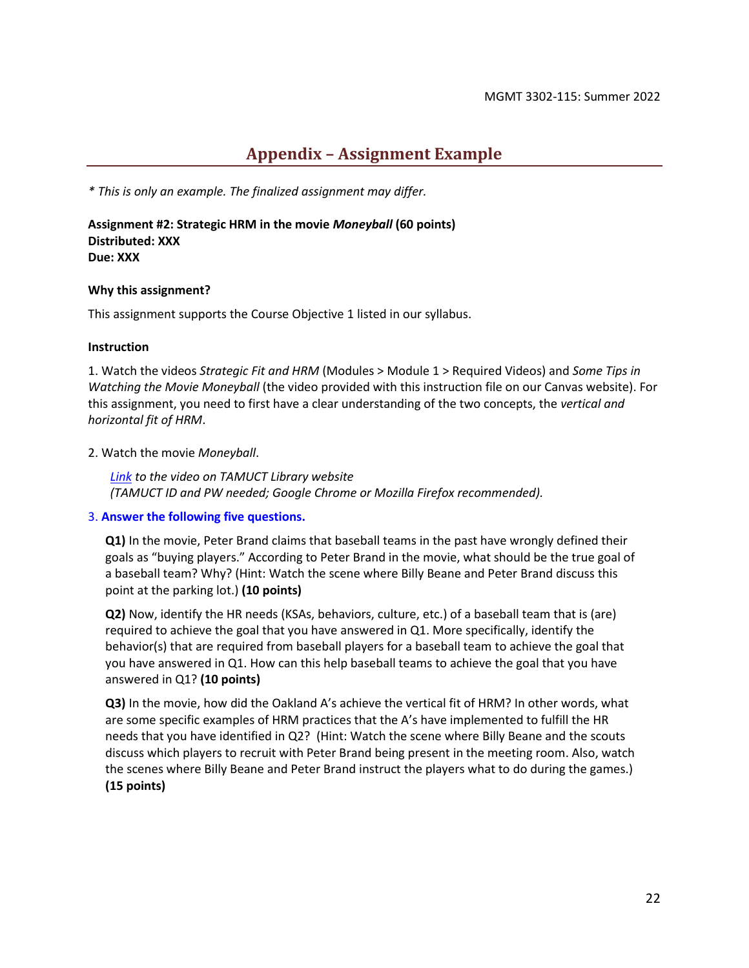## **Appendix – Assignment Example**

<span id="page-21-0"></span>*\* This is only an example. The finalized assignment may differ.*

**Assignment #2: Strategic HRM in the movie** *Moneyball* **(60 points) Distributed: XXX Due: XXX**

#### **Why this assignment?**

This assignment supports the Course Objective 1 listed in our syllabus.

#### **Instruction**

1. Watch the videos *Strategic Fit and HRM* (Modules > Module 1 > Required Videos) and *Some Tips in Watching the Movie Moneyball* (the video provided with this instruction file on our Canvas website). For this assignment, you need to first have a clear understanding of the two concepts, the *vertical and horizontal fit of HRM*.

#### 2. Watch the movie *Moneyball*.

*Link to the video on TAMUCT Library website (TAMUCT ID and PW needed; Google Chrome or Mozilla Firefox recommended).*

#### 3. **Answer the following five questions.**

**Q1)** In the movie, Peter Brand claims that baseball teams in the past have wrongly defined their goals as "buying players." According to Peter Brand in the movie, what should be the true goal of a baseball team? Why? (Hint: Watch the scene where Billy Beane and Peter Brand discuss this point at the parking lot.) **(10 points)**

**Q2)** Now, identify the HR needs (KSAs, behaviors, culture, etc.) of a baseball team that is (are) required to achieve the goal that you have answered in Q1. More specifically, identify the behavior(s) that are required from baseball players for a baseball team to achieve the goal that you have answered in Q1. How can this help baseball teams to achieve the goal that you have answered in Q1? **(10 points)**

**Q3)** In the movie, how did the Oakland A's achieve the vertical fit of HRM? In other words, what are some specific examples of HRM practices that the A's have implemented to fulfill the HR needs that you have identified in Q2? (Hint: Watch the scene where Billy Beane and the scouts discuss which players to recruit with Peter Brand being present in the meeting room. Also, watch the scenes where Billy Beane and Peter Brand instruct the players what to do during the games.) **(15 points)**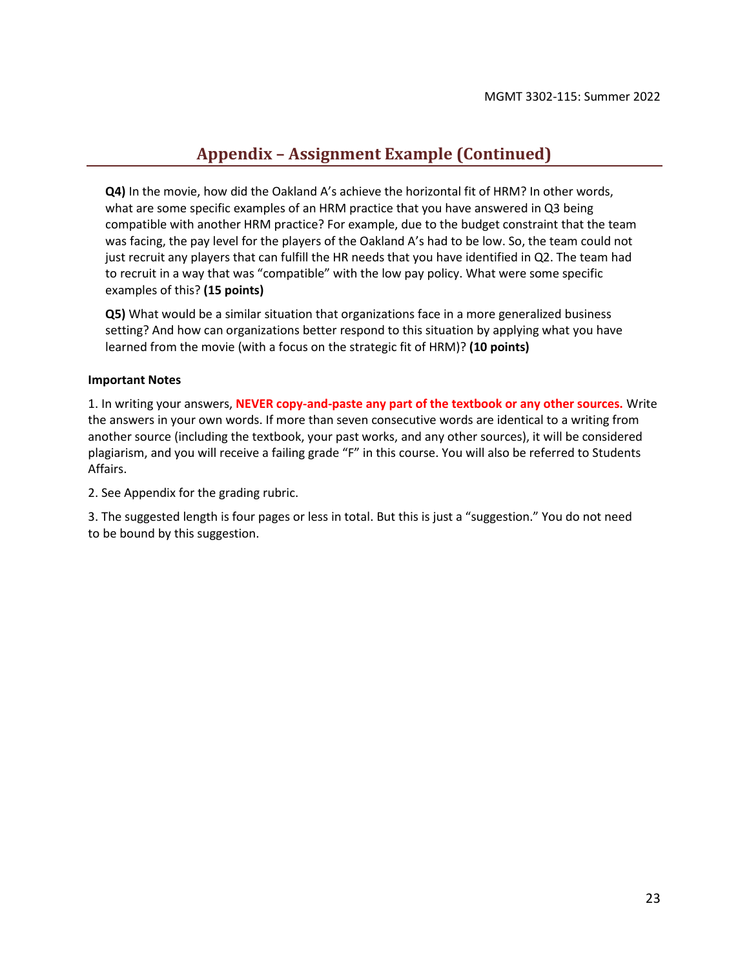## **Appendix – Assignment Example (Continued)**

**Q4)** In the movie, how did the Oakland A's achieve the horizontal fit of HRM? In other words, what are some specific examples of an HRM practice that you have answered in Q3 being compatible with another HRM practice? For example, due to the budget constraint that the team was facing, the pay level for the players of the Oakland A's had to be low. So, the team could not just recruit any players that can fulfill the HR needs that you have identified in Q2. The team had to recruit in a way that was "compatible" with the low pay policy. What were some specific examples of this? **(15 points)**

**Q5)** What would be a similar situation that organizations face in a more generalized business setting? And how can organizations better respond to this situation by applying what you have learned from the movie (with a focus on the strategic fit of HRM)? **(10 points)**

#### **Important Notes**

1. In writing your answers, **NEVER copy-and-paste any part of the textbook or any other sources.** Write the answers in your own words. If more than seven consecutive words are identical to a writing from another source (including the textbook, your past works, and any other sources), it will be considered plagiarism, and you will receive a failing grade "F" in this course. You will also be referred to Students Affairs.

2. See Appendix for the grading rubric.

3. The suggested length is four pages or less in total. But this is just a "suggestion." You do not need to be bound by this suggestion.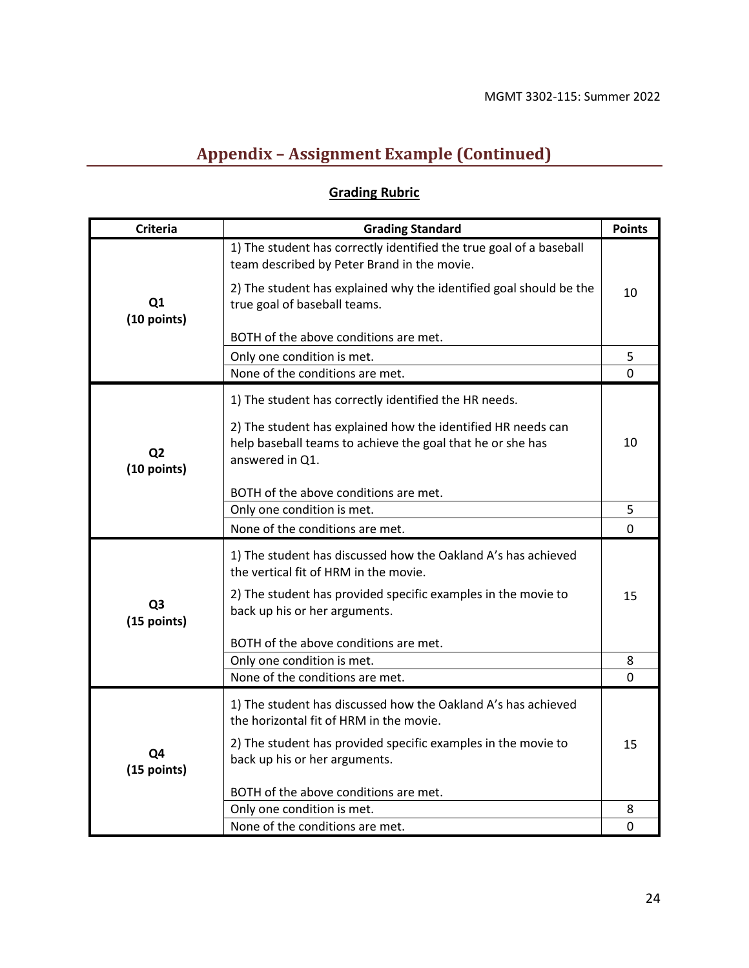# **Appendix – Assignment Example (Continued)**

# **Grading Rubric**

| <b>Criteria</b>               | <b>Grading Standard</b>                                                                                                                       | <b>Points</b> |
|-------------------------------|-----------------------------------------------------------------------------------------------------------------------------------------------|---------------|
| Q1<br>(10 points)             | 1) The student has correctly identified the true goal of a baseball<br>team described by Peter Brand in the movie.                            |               |
|                               | 2) The student has explained why the identified goal should be the<br>true goal of baseball teams.                                            | 10            |
|                               | BOTH of the above conditions are met.                                                                                                         |               |
|                               | Only one condition is met.                                                                                                                    | 5             |
|                               | None of the conditions are met.                                                                                                               | $\Omega$      |
| Q <sub>2</sub><br>(10 points) | 1) The student has correctly identified the HR needs.                                                                                         |               |
|                               | 2) The student has explained how the identified HR needs can<br>help baseball teams to achieve the goal that he or she has<br>answered in Q1. | 10            |
|                               | BOTH of the above conditions are met.                                                                                                         |               |
|                               | Only one condition is met.                                                                                                                    | 5             |
|                               | None of the conditions are met.                                                                                                               | 0             |
| Q <sub>3</sub><br>(15 points) | 1) The student has discussed how the Oakland A's has achieved<br>the vertical fit of HRM in the movie.                                        |               |
|                               | 2) The student has provided specific examples in the movie to<br>back up his or her arguments.                                                | 15            |
|                               | BOTH of the above conditions are met.                                                                                                         |               |
|                               | Only one condition is met.                                                                                                                    | 8             |
|                               | None of the conditions are met.                                                                                                               | 0             |
| Q4<br>(15 points)             | 1) The student has discussed how the Oakland A's has achieved<br>the horizontal fit of HRM in the movie.                                      |               |
|                               | 2) The student has provided specific examples in the movie to<br>back up his or her arguments.                                                | 15            |
|                               | BOTH of the above conditions are met.                                                                                                         |               |
|                               | Only one condition is met.                                                                                                                    | 8             |
|                               | None of the conditions are met.                                                                                                               | 0             |